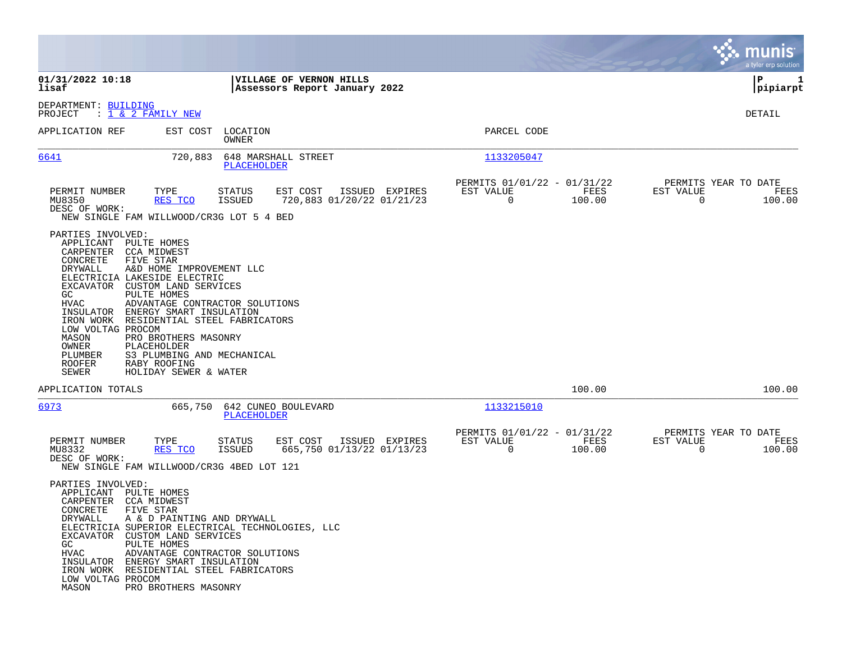|                                                                                                                                                                                  |                                                                                                                                                                                                                                                                                                                                                                                          |                                |                                                          |                |                                                            |                |                                               | munis<br>a tyler erp solution |
|----------------------------------------------------------------------------------------------------------------------------------------------------------------------------------|------------------------------------------------------------------------------------------------------------------------------------------------------------------------------------------------------------------------------------------------------------------------------------------------------------------------------------------------------------------------------------------|--------------------------------|----------------------------------------------------------|----------------|------------------------------------------------------------|----------------|-----------------------------------------------|-------------------------------|
| 01/31/2022 10:18<br>lisaf                                                                                                                                                        |                                                                                                                                                                                                                                                                                                                                                                                          |                                | VILLAGE OF VERNON HILLS<br>Assessors Report January 2022 |                |                                                            |                |                                               | ΙP<br>1<br> pipiarpt          |
| DEPARTMENT: BUILDING<br>PROJECT                                                                                                                                                  | : 1 & 2 FAMILY NEW                                                                                                                                                                                                                                                                                                                                                                       |                                |                                                          |                |                                                            |                |                                               | DETAIL                        |
| APPLICATION REF                                                                                                                                                                  | EST COST                                                                                                                                                                                                                                                                                                                                                                                 | LOCATION<br>OWNER              |                                                          |                | PARCEL CODE                                                |                |                                               |                               |
| 6641                                                                                                                                                                             | 720,883                                                                                                                                                                                                                                                                                                                                                                                  | PLACEHOLDER                    | 648 MARSHALL STREET                                      |                | 1133205047                                                 |                |                                               |                               |
| PERMIT NUMBER<br>MU8350<br>DESC OF WORK:                                                                                                                                         | TYPE<br>RES TCO<br>NEW SINGLE FAM WILLWOOD/CR3G LOT 5 4 BED                                                                                                                                                                                                                                                                                                                              | <b>STATUS</b><br><b>ISSUED</b> | EST COST<br>720,883 01/20/22 01/21/23                    | ISSUED EXPIRES | PERMITS 01/01/22 - 01/31/22<br>EST VALUE<br>$\overline{0}$ | FEES<br>100.00 | PERMITS YEAR TO DATE<br>EST VALUE<br>$\Omega$ | FEES<br>100.00                |
| PARTIES INVOLVED:<br>APPLICANT<br>CARPENTER<br>CONCRETE<br>DRYWALL<br>EXCAVATOR<br>GC<br><b>HVAC</b><br>LOW VOLTAG PROCOM<br>MASON<br>OWNER<br>PLUMBER<br><b>ROOFER</b><br>SEWER | PULTE HOMES<br><b>CCA MIDWEST</b><br><b>FIVE STAR</b><br>A&D HOME IMPROVEMENT LLC<br>ELECTRICIA LAKESIDE ELECTRIC<br>CUSTOM LAND SERVICES<br>PULTE HOMES<br>ADVANTAGE CONTRACTOR SOLUTIONS<br>INSULATOR ENERGY SMART INSULATION<br>IRON WORK RESIDENTIAL STEEL FABRICATORS<br>PRO BROTHERS MASONRY<br>PLACEHOLDER<br>S3 PLUMBING AND MECHANICAL<br>RABY ROOFING<br>HOLIDAY SEWER & WATER |                                |                                                          |                |                                                            |                |                                               |                               |
| APPLICATION TOTALS                                                                                                                                                               |                                                                                                                                                                                                                                                                                                                                                                                          |                                |                                                          |                |                                                            | 100.00         |                                               | 100.00                        |
| 6973                                                                                                                                                                             | 665,750                                                                                                                                                                                                                                                                                                                                                                                  | PLACEHOLDER                    | 642 CUNEO BOULEVARD                                      |                | 1133215010                                                 |                |                                               |                               |
| PERMIT NUMBER<br>MU8332<br>DESC OF WORK:                                                                                                                                         | TYPE<br>RES TCO<br>NEW SINGLE FAM WILLWOOD/CR3G 4BED LOT 121                                                                                                                                                                                                                                                                                                                             | <b>STATUS</b><br><b>ISSUED</b> | EST COST<br>665,750 01/13/22 01/13/23                    | ISSUED EXPIRES | PERMITS 01/01/22 - 01/31/22<br>EST VALUE<br>$\mathbf 0$    | FEES<br>100.00 | PERMITS YEAR TO DATE<br>EST VALUE<br>0        | FEES<br>100.00                |
| PARTIES INVOLVED:<br>APPLICANT PULTE HOMES<br>CARPENTER CCA MIDWEST<br>CONCRETE<br>DRYWALL<br>GC<br>HVAC<br>LOW VOLTAG PROCOM<br>MASON                                           | FIVE STAR<br>A & D PAINTING AND DRYWALL<br>ELECTRICIA SUPERIOR ELECTRICAL TECHNOLOGIES, LLC<br>EXCAVATOR CUSTOM LAND SERVICES<br>PULTE HOMES<br>ADVANTAGE CONTRACTOR SOLUTIONS<br>INSULATOR ENERGY SMART INSULATION<br>IRON WORK RESIDENTIAL STEEL FABRICATORS<br>PRO BROTHERS MASONRY                                                                                                   |                                |                                                          |                |                                                            |                |                                               |                               |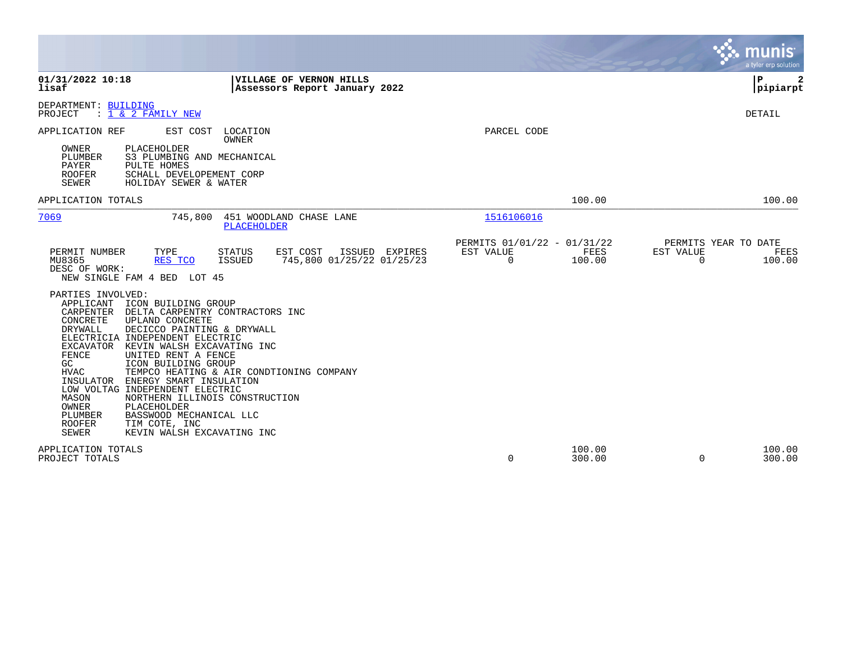|                                                                                                                                                                                                                                                                                                                                                                                                                                                                                                                                                                                                                                               |                                                                        | a tyler erp solution                                            |
|-----------------------------------------------------------------------------------------------------------------------------------------------------------------------------------------------------------------------------------------------------------------------------------------------------------------------------------------------------------------------------------------------------------------------------------------------------------------------------------------------------------------------------------------------------------------------------------------------------------------------------------------------|------------------------------------------------------------------------|-----------------------------------------------------------------|
| 01/31/2022 10:18<br>VILLAGE OF VERNON HILLS<br>lisaf<br>Assessors Report January 2022                                                                                                                                                                                                                                                                                                                                                                                                                                                                                                                                                         |                                                                        | l P<br> pipiarpt                                                |
| DEPARTMENT: BUILDING<br>$: 1 \& 2$ FAMILY NEW<br>PROJECT                                                                                                                                                                                                                                                                                                                                                                                                                                                                                                                                                                                      |                                                                        | DETAIL                                                          |
| APPLICATION REF<br>EST COST<br>LOCATION<br>OWNER<br>OWNER<br>PLACEHOLDER<br>PLUMBER<br>S3 PLUMBING AND MECHANICAL<br>PAYER<br>PULTE HOMES<br><b>ROOFER</b><br>SCHALL DEVELOPEMENT CORP<br><b>SEWER</b><br>HOLIDAY SEWER & WATER                                                                                                                                                                                                                                                                                                                                                                                                               | PARCEL CODE                                                            |                                                                 |
| APPLICATION TOTALS                                                                                                                                                                                                                                                                                                                                                                                                                                                                                                                                                                                                                            | 100.00                                                                 | 100.00                                                          |
| 7069<br>451 WOODLAND CHASE LANE<br>745,800<br><b>PLACEHOLDER</b>                                                                                                                                                                                                                                                                                                                                                                                                                                                                                                                                                                              | 1516106016                                                             |                                                                 |
| PERMIT NUMBER<br>TYPE<br>STATUS<br>EST COST<br>ISSUED EXPIRES<br>MU8365<br>RES TCO<br>745,800 01/25/22 01/25/23<br>ISSUED<br>DESC OF WORK:<br>NEW SINGLE FAM 4 BED LOT 45                                                                                                                                                                                                                                                                                                                                                                                                                                                                     | PERMITS 01/01/22 - 01/31/22<br>FEES<br>EST VALUE<br>$\Omega$<br>100.00 | PERMITS YEAR TO DATE<br>EST VALUE<br>FEES<br>$\Omega$<br>100.00 |
| PARTIES INVOLVED:<br>APPLICANT<br>ICON BUILDING GROUP<br>CARPENTER DELTA CARPENTRY CONTRACTORS INC<br>CONCRETE<br>UPLAND CONCRETE<br><b>DRYWALL</b><br>DECICCO PAINTING & DRYWALL<br>ELECTRICIA INDEPENDENT ELECTRIC<br>EXCAVATOR<br>KEVIN WALSH EXCAVATING INC<br>FENCE<br>UNITED RENT A FENCE<br>GC<br>ICON BUILDING GROUP<br>TEMPCO HEATING & AIR CONDTIONING COMPANY<br>HVAC<br>INSULATOR<br>ENERGY SMART INSULATION<br>LOW VOLTAG INDEPENDENT ELECTRIC<br>MASON<br>NORTHERN ILLINOIS CONSTRUCTION<br>OWNER<br>PLACEHOLDER<br>PLUMBER<br>BASSWOOD MECHANICAL LLC<br><b>ROOFER</b><br>TIM COTE, INC<br>SEWER<br>KEVIN WALSH EXCAVATING INC |                                                                        |                                                                 |
| APPLICATION TOTALS<br>PROJECT TOTALS                                                                                                                                                                                                                                                                                                                                                                                                                                                                                                                                                                                                          | 100.00<br>300.00<br>$\Omega$                                           | 100.00<br>300.00<br>$\Omega$                                    |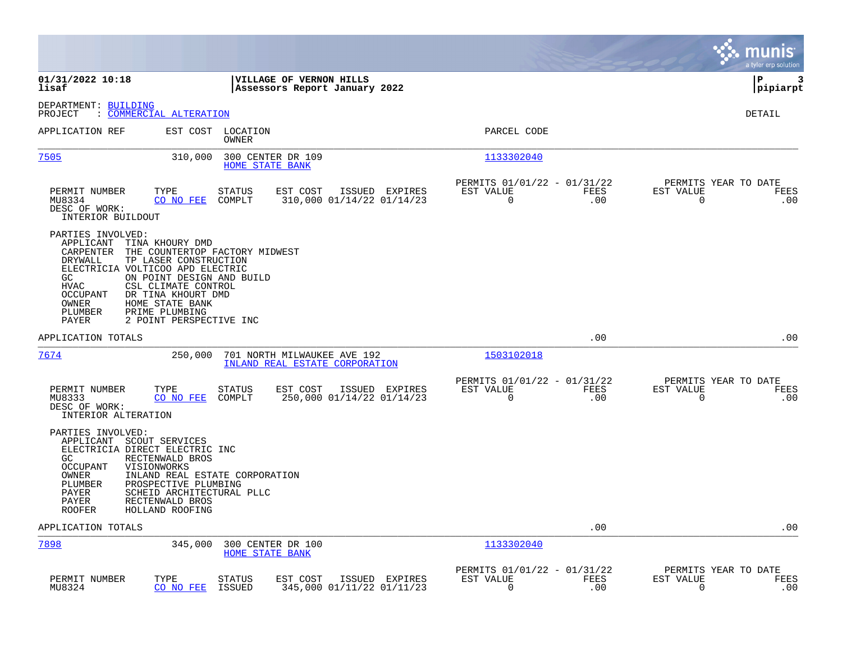|                                                                                                                                                                                                                                                                                        |                                                                                        |                                                         |             | munis<br>a tyler erp solution                                   |
|----------------------------------------------------------------------------------------------------------------------------------------------------------------------------------------------------------------------------------------------------------------------------------------|----------------------------------------------------------------------------------------|---------------------------------------------------------|-------------|-----------------------------------------------------------------|
| 01/31/2022 10:18<br>lisaf                                                                                                                                                                                                                                                              | VILLAGE OF VERNON HILLS<br>Assessors Report January 2022                               |                                                         |             | IΡ<br>3<br> pipiarpt                                            |
| DEPARTMENT: BUILDING<br>: COMMERCIAL ALTERATION<br>PROJECT                                                                                                                                                                                                                             |                                                                                        |                                                         |             | DETAIL                                                          |
| APPLICATION REF                                                                                                                                                                                                                                                                        | EST COST LOCATION<br><b>OWNER</b>                                                      | PARCEL CODE                                             |             |                                                                 |
| 7505                                                                                                                                                                                                                                                                                   | 310,000<br>300 CENTER DR 109<br><b>HOME STATE BANK</b>                                 | 1133302040                                              |             |                                                                 |
| PERMIT NUMBER<br>TYPE<br>MU8334<br>CO NO FEE<br>DESC OF WORK:<br>INTERIOR BUILDOUT                                                                                                                                                                                                     | ISSUED EXPIRES<br><b>STATUS</b><br>EST COST<br>COMPLT<br>310,000 01/14/22 01/14/23     | PERMITS 01/01/22 - 01/31/22<br>EST VALUE<br>$\mathbf 0$ | FEES<br>.00 | PERMITS YEAR TO DATE<br>EST VALUE<br>FEES<br>$\mathbf 0$<br>.00 |
| PARTIES INVOLVED:<br>APPLICANT<br>TINA KHOURY DMD<br>CARPENTER<br>DRYWALL<br>TP LASER CONSTRUCTION<br>ELECTRICIA VOLTICOO APD ELECTRIC<br>GC<br><b>HVAC</b><br>CSL CLIMATE CONTROL<br>OCCUPANT<br>DR TINA KHOURT DMD<br>OWNER<br>HOME STATE BANK<br>PLUMBER<br>PRIME PLUMBING<br>PAYER | THE COUNTERTOP FACTORY MIDWEST<br>ON POINT DESIGN AND BUILD<br>2 POINT PERSPECTIVE INC |                                                         |             |                                                                 |
| APPLICATION TOTALS                                                                                                                                                                                                                                                                     |                                                                                        |                                                         | .00         | .00                                                             |
| 7674                                                                                                                                                                                                                                                                                   | 250,000<br>701 NORTH MILWAUKEE AVE 192<br>INLAND REAL ESTATE CORPORATION               | 1503102018                                              |             |                                                                 |
| PERMIT NUMBER<br>TYPE<br>CO NO FEE<br>MU8333<br>DESC OF WORK:<br>INTERIOR ALTERATION                                                                                                                                                                                                   | <b>STATUS</b><br>EST COST<br>ISSUED EXPIRES<br>250,000 01/14/22 01/14/23<br>COMPLT     | PERMITS 01/01/22 - 01/31/22<br>EST VALUE<br>$\mathbf 0$ | FEES<br>.00 | PERMITS YEAR TO DATE<br>EST VALUE<br>FEES<br>$\mathbf 0$<br>.00 |
| PARTIES INVOLVED:<br>APPLICANT<br>SCOUT SERVICES<br>ELECTRICIA DIRECT ELECTRIC INC<br>GC<br>RECTENWALD BROS<br><b>OCCUPANT</b><br>VISIONWORKS<br>OWNER<br>PLUMBER<br>PROSPECTIVE PLUMBING<br>PAYER<br>PAYER<br>RECTENWALD BROS<br><b>ROOFER</b><br>HOLLAND ROOFING                     | INLAND REAL ESTATE CORPORATION<br>SCHEID ARCHITECTURAL PLLC                            |                                                         |             |                                                                 |
| APPLICATION TOTALS                                                                                                                                                                                                                                                                     |                                                                                        |                                                         | .00         | .00                                                             |
| 7898                                                                                                                                                                                                                                                                                   | 345,000<br>300 CENTER DR 100<br><b>HOME STATE BANK</b>                                 | 1133302040                                              |             |                                                                 |
| PERMIT NUMBER<br>TYPE<br>CO NO FEE<br>MU8324                                                                                                                                                                                                                                           | <b>STATUS</b><br>EST COST<br>ISSUED EXPIRES<br>345,000 01/11/22 01/11/23<br>ISSUED     | PERMITS 01/01/22 - 01/31/22<br>EST VALUE<br>$\mathbf 0$ | FEES<br>.00 | PERMITS YEAR TO DATE<br>EST VALUE<br>FEES<br>$\mathbf 0$<br>.00 |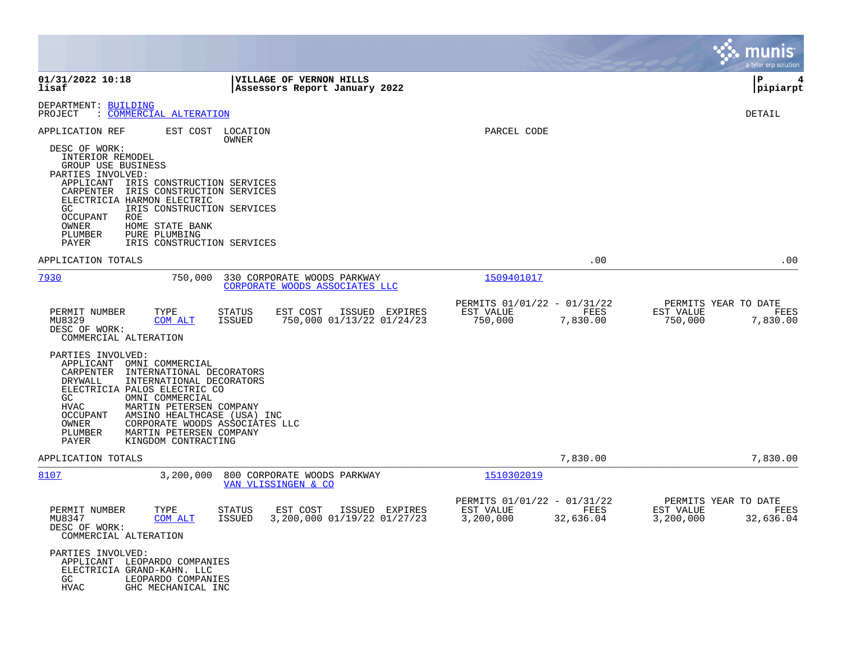|                                                                                                                                                                                                                                                                                                                                                                                           |                                                                                           |                                                                            | <b>munis</b><br>a tyler erp solution                                |
|-------------------------------------------------------------------------------------------------------------------------------------------------------------------------------------------------------------------------------------------------------------------------------------------------------------------------------------------------------------------------------------------|-------------------------------------------------------------------------------------------|----------------------------------------------------------------------------|---------------------------------------------------------------------|
| 01/31/2022 10:18<br>lisaf                                                                                                                                                                                                                                                                                                                                                                 | VILLAGE OF VERNON HILLS<br>Assessors Report January 2022                                  |                                                                            | l P<br>4<br> pipiarpt                                               |
| DEPARTMENT: BUILDING<br>PROJECT<br>: COMMERCIAL ALTERATION                                                                                                                                                                                                                                                                                                                                |                                                                                           |                                                                            | DETAIL                                                              |
| APPLICATION REF<br>EST COST<br>DESC OF WORK:<br>INTERIOR REMODEL<br>GROUP USE BUSINESS<br>PARTIES INVOLVED:<br>APPLICANT<br>IRIS CONSTRUCTION SERVICES<br>CARPENTER<br>IRIS CONSTRUCTION SERVICES<br>ELECTRICIA HARMON ELECTRIC<br>GC<br>IRIS CONSTRUCTION SERVICES<br>OCCUPANT<br>ROE<br>OWNER<br>HOME STATE BANK<br>PLUMBER<br>PURE PLUMBING<br>PAYER<br>IRIS CONSTRUCTION SERVICES     | LOCATION<br>OWNER                                                                         | PARCEL CODE                                                                |                                                                     |
| APPLICATION TOTALS                                                                                                                                                                                                                                                                                                                                                                        |                                                                                           | .00                                                                        | .00                                                                 |
| 7930<br>750,000                                                                                                                                                                                                                                                                                                                                                                           | 330 CORPORATE WOODS PARKWAY<br>CORPORATE WOODS ASSOCIATES LLC                             | 1509401017                                                                 |                                                                     |
| TYPE<br>PERMIT NUMBER<br>MU8329<br>COM ALT<br>DESC OF WORK:<br>COMMERCIAL ALTERATION                                                                                                                                                                                                                                                                                                      | <b>STATUS</b><br>EST COST<br>ISSUED EXPIRES<br>750,000 01/13/22 01/24/23<br><b>ISSUED</b> | PERMITS 01/01/22 - 01/31/22<br>EST VALUE<br>FEES<br>750,000<br>7,830.00    | PERMITS YEAR TO DATE<br>EST VALUE<br>FEES<br>750,000<br>7,830.00    |
| PARTIES INVOLVED:<br>APPLICANT<br>OMNI COMMERCIAL<br>CARPENTER<br>INTERNATIONAL DECORATORS<br>DRYWALL<br>INTERNATIONAL DECORATORS<br>ELECTRICIA PALOS ELECTRIC CO<br>GC<br>OMNI COMMERCIAL<br>HVAC<br>MARTIN PETERSEN COMPANY<br>OCCUPANT<br>AMSINO HEALTHCASE (USA) INC<br>OWNER<br>CORPORATE WOODS ASSOCIATES LLC<br>PLUMBER<br>MARTIN PETERSEN COMPANY<br>PAYER<br>KINGDOM CONTRACTING |                                                                                           |                                                                            |                                                                     |
| APPLICATION TOTALS                                                                                                                                                                                                                                                                                                                                                                        |                                                                                           | 7,830.00                                                                   | 7,830.00                                                            |
| 8107<br>3,200,000                                                                                                                                                                                                                                                                                                                                                                         | 800 CORPORATE WOODS PARKWAY<br>VAN VLISSINGEN & CO                                        | 1510302019                                                                 |                                                                     |
| TYPE<br>PERMIT NUMBER<br>MU8347<br><u>COM ALT</u><br>DESC OF WORK:<br>COMMERCIAL ALTERATION                                                                                                                                                                                                                                                                                               | <b>STATUS</b><br>EST COST<br>ISSUED EXPIRES<br>ISSUED 3,200,000 01/19/22 01/27/23         | PERMITS 01/01/22 - 01/31/22<br>EST VALUE<br>FEES<br>3,200,000<br>32,636.04 | PERMITS YEAR TO DATE<br>EST VALUE<br>FEES<br>3,200,000<br>32,636.04 |
| PARTIES INVOLVED:<br>APPLICANT LEOPARDO COMPANIES<br>ELECTRICIA GRAND-KAHN. LLC<br>GC<br>LEOPARDO COMPANIES<br>HVAC<br>GHC MECHANICAL INC                                                                                                                                                                                                                                                 |                                                                                           |                                                                            |                                                                     |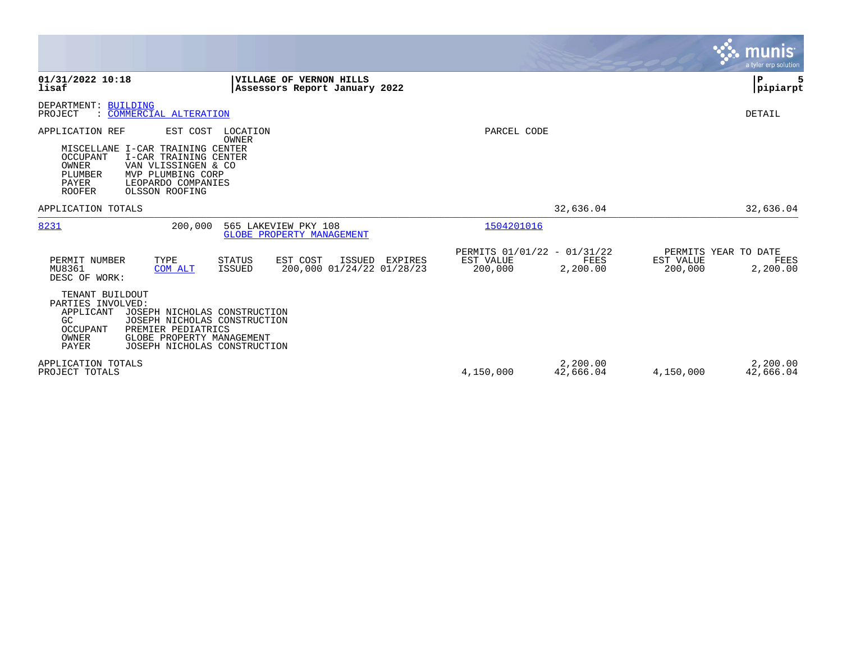|                                                                                                                                                                                                                                                 |                                                                                    |                                                     |                       |                      | <b>munis</b><br>a tyler erp solution     |
|-------------------------------------------------------------------------------------------------------------------------------------------------------------------------------------------------------------------------------------------------|------------------------------------------------------------------------------------|-----------------------------------------------------|-----------------------|----------------------|------------------------------------------|
| 01/31/2022 10:18<br>lisaf                                                                                                                                                                                                                       | VILLAGE OF VERNON HILLS<br>Assessors Report January 2022                           |                                                     |                       |                      | $\mathbf{P}$<br> pipiarpt                |
| DEPARTMENT: BUILDING<br>: COMMERCIAL ALTERATION<br>PROJECT                                                                                                                                                                                      |                                                                                    |                                                     |                       |                      | DETAIL                                   |
| APPLICATION REF<br>EST COST<br>MISCELLANE I-CAR TRAINING CENTER<br>OCCUPANT<br>I-CAR TRAINING CENTER<br>OWNER<br>VAN VLISSINGEN & CO<br>PLUMBER<br>MVP PLUMBING CORP<br>PAYER<br>LEOPARDO COMPANIES<br><b>ROOFER</b><br>OLSSON ROOFING          | LOCATION<br>OWNER                                                                  | PARCEL CODE                                         |                       |                      |                                          |
| APPLICATION TOTALS                                                                                                                                                                                                                              |                                                                                    |                                                     | 32,636.04             |                      | 32,636.04                                |
| 8231<br>200,000                                                                                                                                                                                                                                 | 565 LAKEVIEW PKY 108<br><b>GLOBE PROPERTY MANAGEMENT</b>                           | 1504201016                                          |                       |                      |                                          |
| PERMIT NUMBER<br>TYPE<br>MU8361<br>COM ALT<br>DESC OF WORK:                                                                                                                                                                                     | EST COST<br>STATUS<br>ISSUED EXPIRES<br>200,000 01/24/22 01/28/23<br><b>ISSUED</b> | PERMITS 01/01/22 - 01/31/22<br>EST VALUE<br>200,000 | FEES<br>2,200.00      | EST VALUE<br>200,000 | PERMITS YEAR TO DATE<br>FEES<br>2,200.00 |
| TENANT BUILDOUT<br>PARTIES INVOLVED:<br>APPLICANT<br>JOSEPH NICHOLAS CONSTRUCTION<br>GC<br>JOSEPH NICHOLAS CONSTRUCTION<br>PREMIER PEDIATRICS<br><b>OCCUPANT</b><br>OWNER<br>GLOBE PROPERTY MANAGEMENT<br>PAYER<br>JOSEPH NICHOLAS CONSTRUCTION |                                                                                    |                                                     |                       |                      |                                          |
| APPLICATION TOTALS<br>PROJECT TOTALS                                                                                                                                                                                                            |                                                                                    | 4,150,000                                           | 2,200.00<br>42,666.04 | 4,150,000            | 2,200.00<br>42,666.04                    |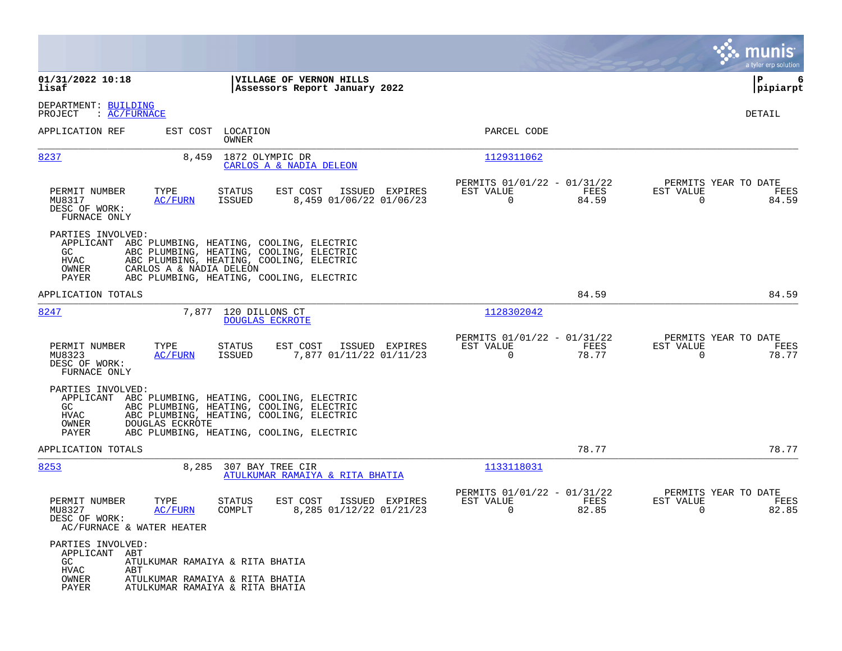|                                                                                                                                                                                                                                                                         |                                                                             | munis<br>a tyler erp solution                                  |
|-------------------------------------------------------------------------------------------------------------------------------------------------------------------------------------------------------------------------------------------------------------------------|-----------------------------------------------------------------------------|----------------------------------------------------------------|
| 01/31/2022 10:18<br>VILLAGE OF VERNON HILLS<br>lisaf<br>Assessors Report January 2022                                                                                                                                                                                   |                                                                             | P<br>6<br> pipiarpt                                            |
| DEPARTMENT: BUILDING<br>PROJECT<br>: <u>AC/FURNACE</u>                                                                                                                                                                                                                  |                                                                             | DETAIL                                                         |
| APPLICATION REF<br>EST COST LOCATION<br>OWNER                                                                                                                                                                                                                           | PARCEL CODE                                                                 |                                                                |
| 8237<br>8,459<br>1872 OLYMPIC DR<br>CARLOS A & NADIA DELEON                                                                                                                                                                                                             | 1129311062                                                                  |                                                                |
| TYPE<br>PERMIT NUMBER<br>STATUS<br>EST COST<br>ISSUED EXPIRES<br>8,459 01/06/22 01/06/23<br>MU8317<br>ISSUED<br>AC/FURN<br>DESC OF WORK:<br>FURNACE ONLY                                                                                                                | PERMITS 01/01/22 - 01/31/22<br>EST VALUE<br>FEES<br>84.59<br>$\overline{0}$ | PERMITS YEAR TO DATE<br>EST VALUE<br>FEES<br>$\Omega$<br>84.59 |
| PARTIES INVOLVED:<br>APPLICANT ABC PLUMBING, HEATING, COOLING, ELECTRIC<br>GC.<br>ABC PLUMBING, HEATING, COOLING, ELECTRIC<br>HVAC<br>ABC PLUMBING, HEATING, COOLING, ELECTRIC<br>OWNER<br>CARLOS A & NADIA DELEON<br>PAYER<br>ABC PLUMBING, HEATING, COOLING, ELECTRIC |                                                                             |                                                                |
| APPLICATION TOTALS                                                                                                                                                                                                                                                      | 84.59                                                                       | 84.59                                                          |
| 8247<br>7,877 120 DILLONS CT<br><b>DOUGLAS ECKROTE</b>                                                                                                                                                                                                                  | 1128302042                                                                  |                                                                |
| PERMIT NUMBER<br>TYPE<br>EST COST<br>ISSUED EXPIRES<br>STATUS<br>7,877 01/11/22 01/11/23<br>MU8323<br><u>AC/FURN</u><br>ISSUED<br>DESC OF WORK:<br>FURNACE ONLY                                                                                                         | PERMITS 01/01/22 - 01/31/22<br>EST VALUE<br>FEES<br>$\Omega$<br>78.77       | PERMITS YEAR TO DATE<br>EST VALUE<br>FEES<br>$\Omega$<br>78.77 |
| PARTIES INVOLVED:<br>APPLICANT ABC PLUMBING, HEATING, COOLING, ELECTRIC<br>GC<br>ABC PLUMBING, HEATING, COOLING, ELECTRIC<br>ABC PLUMBING, HEATING, COOLING, ELECTRIC<br>HVAC<br>OWNER<br>DOUGLAS ECKROTE<br>PAYER<br>ABC PLUMBING, HEATING, COOLING, ELECTRIC          |                                                                             |                                                                |
| APPLICATION TOTALS                                                                                                                                                                                                                                                      | 78.77                                                                       | 78.77                                                          |
| 8253<br>8,285<br>307 BAY TREE CIR<br>ATULKUMAR RAMAIYA & RITA BHATIA                                                                                                                                                                                                    | 1133118031                                                                  |                                                                |
| PERMIT NUMBER<br>TYPE<br>ISSUED EXPIRES<br>STATUS<br>EST COST<br>8,285 01/12/22 01/21/23<br>MU8327<br>AC/FURN<br>COMPLT<br>DESC OF WORK:<br>AC/FURNACE & WATER HEATER                                                                                                   | PERMITS 01/01/22 - 01/31/22<br>EST VALUE<br>FEES<br>0<br>82.85              | PERMITS YEAR TO DATE<br>EST VALUE<br>FEES<br>82.85<br>0        |
| PARTIES INVOLVED:<br>APPLICANT ABT<br>GC<br>ATULKUMAR RAMAIYA & RITA BHATIA<br>${\tt HVAC}$<br>ABT<br>OWNER<br>ATULKUMAR RAMAIYA & RITA BHATIA<br>PAYER<br>ATULKUMAR RAMAIYA & RITA BHATIA                                                                              |                                                                             |                                                                |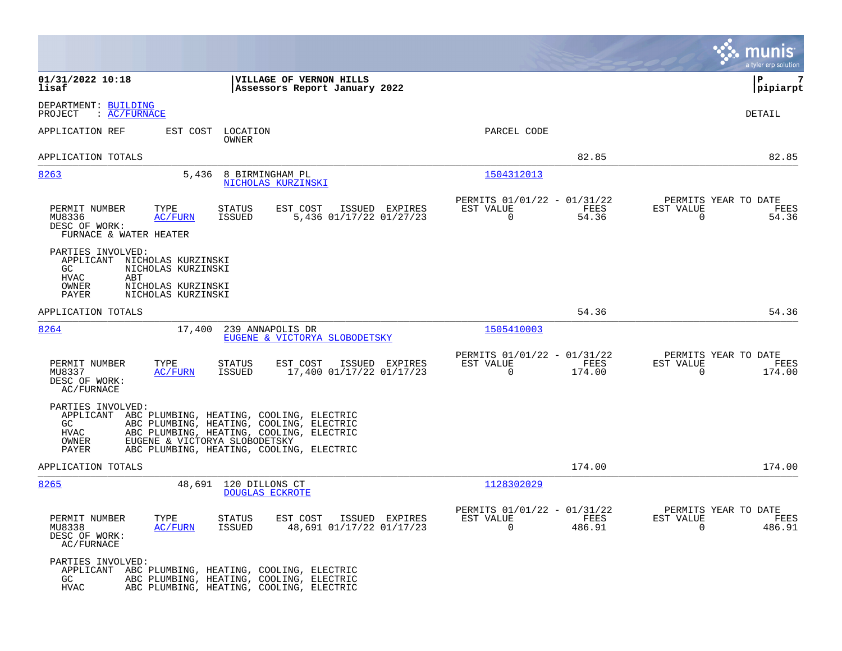|                                                                                                                                                                                                                                                                              |                                                                             | munis<br>a tyler erp solution                                        |
|------------------------------------------------------------------------------------------------------------------------------------------------------------------------------------------------------------------------------------------------------------------------------|-----------------------------------------------------------------------------|----------------------------------------------------------------------|
| 01/31/2022 10:18<br>VILLAGE OF VERNON HILLS<br>lisaf<br>Assessors Report January 2022                                                                                                                                                                                        |                                                                             | lР<br>7<br> pipiarpt                                                 |
| DEPARTMENT: BUILDING<br>PROJECT<br>$\colon$ AC/FURNACE                                                                                                                                                                                                                       |                                                                             | DETAIL                                                               |
| APPLICATION REF<br>EST COST LOCATION<br>OWNER                                                                                                                                                                                                                                | PARCEL CODE                                                                 |                                                                      |
| APPLICATION TOTALS                                                                                                                                                                                                                                                           | 82.85                                                                       | 82.85                                                                |
| 8263<br>5,436<br>8 BIRMINGHAM PL<br>NICHOLAS KURZINSKI                                                                                                                                                                                                                       | 1504312013                                                                  |                                                                      |
| PERMIT NUMBER<br><b>STATUS</b><br>EST COST<br>ISSUED EXPIRES<br>TYPE<br>5,436 01/17/22 01/27/23<br>MU8336<br>AC/FURN<br>ISSUED<br>DESC OF WORK:<br>FURNACE & WATER HEATER                                                                                                    | PERMITS 01/01/22 - 01/31/22<br>EST VALUE<br>FEES<br>$\overline{0}$<br>54.36 | PERMITS YEAR TO DATE<br>EST VALUE<br>FEES<br>$\overline{0}$<br>54.36 |
| PARTIES INVOLVED:<br>APPLICANT NICHOLAS KURZINSKI<br>NICHOLAS KURZINSKI<br>GC<br><b>HVAC</b><br>ABT<br>NICHOLAS KURZINSKI<br>OWNER<br>NICHOLAS KURZINSKI<br>PAYER                                                                                                            |                                                                             |                                                                      |
| APPLICATION TOTALS                                                                                                                                                                                                                                                           | 54.36                                                                       | 54.36                                                                |
| 8264<br>17,400<br>239 ANNAPOLIS DR<br>EUGENE & VICTORYA SLOBODETSKY                                                                                                                                                                                                          | 1505410003                                                                  |                                                                      |
| PERMIT NUMBER<br>TYPE<br>STATUS<br>EST COST<br>ISSUED EXPIRES<br>17,400 01/17/22 01/17/23<br>MU8337<br>AC/FURN<br>ISSUED<br>DESC OF WORK:<br>AC/FURNACE                                                                                                                      | PERMITS 01/01/22 - 01/31/22<br>EST VALUE<br>FEES<br>$\Omega$<br>174.00      | PERMITS YEAR TO DATE<br>EST VALUE<br>FEES<br>$\Omega$<br>174.00      |
| PARTIES INVOLVED:<br>APPLICANT ABC PLUMBING, HEATING, COOLING, ELECTRIC<br>ABC PLUMBING, HEATING, COOLING, ELECTRIC<br>GC<br>ABC PLUMBING, HEATING, COOLING, ELECTRIC<br>HVAC<br>EUGENE & VICTORYA SLOBODETSKY<br>OWNER<br>PAYER<br>ABC PLUMBING, HEATING, COOLING, ELECTRIC |                                                                             |                                                                      |
| APPLICATION TOTALS                                                                                                                                                                                                                                                           | 174.00                                                                      | 174.00                                                               |
| 8265<br>48,691 120 DILLONS CT<br><b>DOUGLAS ECKROTE</b>                                                                                                                                                                                                                      | 1128302029                                                                  |                                                                      |
| PERMIT NUMBER<br>TYPE<br>STATUS<br>EST COST<br>ISSUED EXPIRES<br>48,691 01/17/22 01/17/23<br>MU8338<br>AC/FURN<br>ISSUED<br>DESC OF WORK:<br>AC/FURNACE                                                                                                                      | PERMITS 01/01/22 - 01/31/22<br>FEES<br>EST VALUE<br>$\mathbf 0$<br>486.91   | PERMITS YEAR TO DATE<br>EST VALUE<br>FEES<br>$\Omega$<br>486.91      |
| PARTIES INVOLVED:<br>APPLICANT ABC PLUMBING, HEATING, COOLING, ELECTRIC<br>ABC PLUMBING, HEATING, COOLING, ELECTRIC<br>GC.<br>ABC PLUMBING, HEATING, COOLING, ELECTRIC<br><b>HVAC</b>                                                                                        |                                                                             |                                                                      |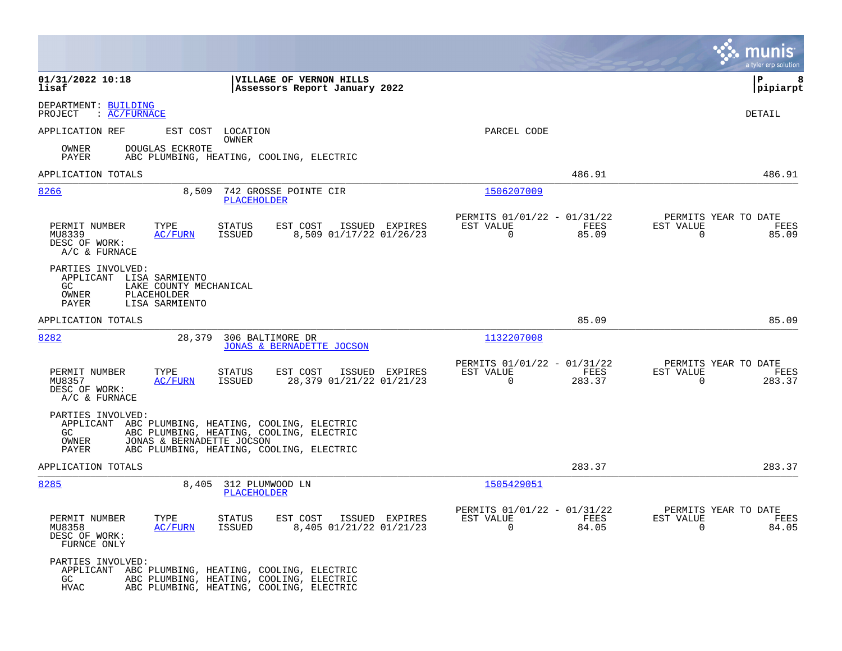|                                                                                                                                   |                                                                                      |                                                                           | a tyler erp solution                                                  |
|-----------------------------------------------------------------------------------------------------------------------------------|--------------------------------------------------------------------------------------|---------------------------------------------------------------------------|-----------------------------------------------------------------------|
| 01/31/2022 10:18<br>lisaf                                                                                                         | VILLAGE OF VERNON HILLS<br>Assessors Report January 2022                             |                                                                           | ΙP<br>8<br>$ $ pipiarpt                                               |
| DEPARTMENT: BUILDING<br>: AC/FURNACE<br>PROJECT                                                                                   |                                                                                      |                                                                           | DETAIL                                                                |
| APPLICATION REF                                                                                                                   | EST COST LOCATION<br>OWNER                                                           | PARCEL CODE                                                               |                                                                       |
| OWNER<br>DOUGLAS ECKROTE<br>PAYER                                                                                                 | ABC PLUMBING, HEATING, COOLING, ELECTRIC                                             |                                                                           |                                                                       |
| APPLICATION TOTALS                                                                                                                |                                                                                      | 486.91                                                                    | 486.91                                                                |
| 8,509<br>8266                                                                                                                     | 742 GROSSE POINTE CIR<br><b>PLACEHOLDER</b>                                          | 1506207009                                                                |                                                                       |
| PERMIT NUMBER<br>TYPE<br><b>AC/FURN</b><br>MU8339<br>DESC OF WORK:<br>$A/C$ & FURNACE                                             | <b>STATUS</b><br>EST COST<br>ISSUED EXPIRES<br>8,509 01/17/22 01/26/23<br>ISSUED     | PERMITS 01/01/22 - 01/31/22<br>EST VALUE<br>FEES<br>$\mathbf 0$<br>85.09  | PERMITS YEAR TO DATE<br>EST VALUE<br>FEES<br>$\mathsf{O}$<br>85.09    |
| PARTIES INVOLVED:<br>APPLICANT LISA SARMIENTO<br>LAKE COUNTY MECHANICAL<br>GC.<br>OWNER<br>PLACEHOLDER<br>PAYER<br>LISA SARMIENTO |                                                                                      |                                                                           |                                                                       |
| APPLICATION TOTALS                                                                                                                |                                                                                      | 85.09                                                                     | 85.09                                                                 |
| 8282<br>28,379                                                                                                                    | 306 BALTIMORE DR<br>JONAS & BERNADETTE JOCSON                                        | 1132207008                                                                |                                                                       |
| PERMIT NUMBER<br>TYPE<br>AC/FURN<br>MU8357<br>DESC OF WORK:<br>A/C & FURNACE                                                      | <b>STATUS</b><br>EST COST<br>ISSUED EXPIRES<br>28,379 01/21/22 01/21/23<br>ISSUED    | PERMITS 01/01/22 - 01/31/22<br>FEES<br>EST VALUE<br>$\mathbf 0$<br>283.37 | PERMITS YEAR TO DATE<br>EST VALUE<br>FEES<br>$\overline{0}$<br>283.37 |
| PARTIES INVOLVED:<br>APPLICANT ABC PLUMBING, HEATING, COOLING, ELECTRIC<br>GC.<br>JONAS & BERNADETTE JOCSON<br>OWNER<br>PAYER     | ABC PLUMBING, HEATING, COOLING, ELECTRIC<br>ABC PLUMBING, HEATING, COOLING, ELECTRIC |                                                                           |                                                                       |
| APPLICATION TOTALS                                                                                                                |                                                                                      | 283.37                                                                    | 283.37                                                                |
| 8285<br>8,405                                                                                                                     | 312 PLUMWOOD LN<br><b>PLACEHOLDER</b>                                                | 1505429051                                                                |                                                                       |
| PERMIT NUMBER<br>TYPE<br>MU8358<br>AC/FURN<br>DESC OF WORK:<br>FURNCE ONLY                                                        | <b>STATUS</b><br>EST COST<br>ISSUED EXPIRES<br>8,405 01/21/22 01/21/23<br>ISSUED     | PERMITS 01/01/22 - 01/31/22<br>EST VALUE<br>FEES<br>$\mathbf 0$<br>84.05  | PERMITS YEAR TO DATE<br>EST VALUE<br>FEES<br>84.05<br>$\overline{0}$  |
| PARTIES INVOLVED:<br>APPLICANT ABC PLUMBING, HEATING, COOLING, ELECTRIC<br>GC<br><b>HVAC</b>                                      | ABC PLUMBING, HEATING, COOLING, ELECTRIC<br>ABC PLUMBING, HEATING, COOLING, ELECTRIC |                                                                           |                                                                       |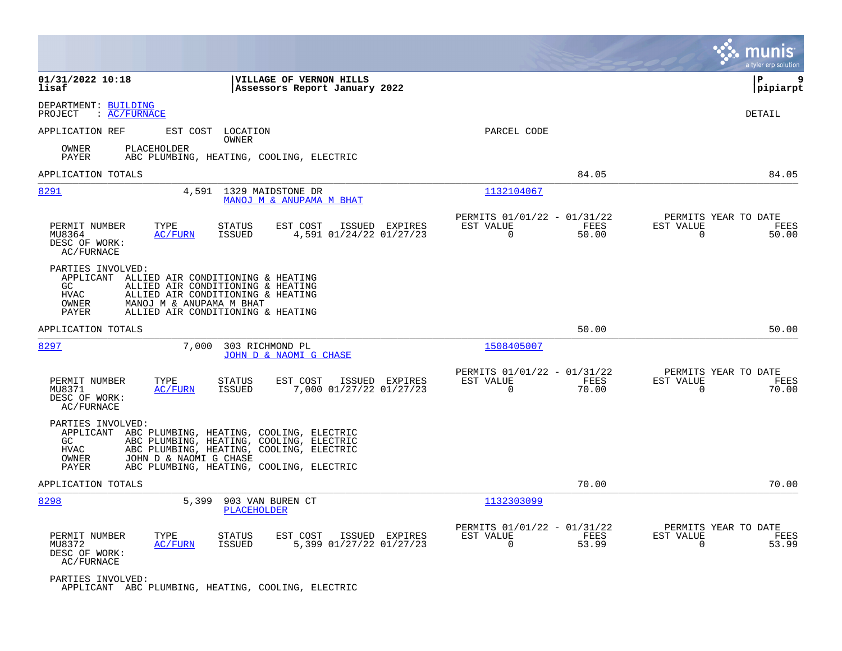|                                                                                                                                                                                                                                                                       |                                                                          | munis<br>a tyler erp solution                                        |
|-----------------------------------------------------------------------------------------------------------------------------------------------------------------------------------------------------------------------------------------------------------------------|--------------------------------------------------------------------------|----------------------------------------------------------------------|
| 01/31/2022 10:18<br>VILLAGE OF VERNON HILLS<br>lisaf<br>Assessors Report January 2022                                                                                                                                                                                 |                                                                          | ΙP<br>9<br> pipiarpt                                                 |
| DEPARTMENT: BUILDING<br>PROJECT<br>$\colon$ AC/FURNACE                                                                                                                                                                                                                |                                                                          | DETAIL                                                               |
| APPLICATION REF<br>EST COST LOCATION<br>OWNER                                                                                                                                                                                                                         | PARCEL CODE                                                              |                                                                      |
| PLACEHOLDER<br>OWNER<br>PAYER<br>ABC PLUMBING, HEATING, COOLING, ELECTRIC                                                                                                                                                                                             |                                                                          |                                                                      |
| APPLICATION TOTALS                                                                                                                                                                                                                                                    | 84.05                                                                    | 84.05                                                                |
| 8291<br>4,591<br>1329 MAIDSTONE DR<br>MANOJ M & ANUPAMA M BHAT                                                                                                                                                                                                        | 1132104067                                                               |                                                                      |
| PERMIT NUMBER<br>TYPE<br>EST COST<br>STATUS<br>ISSUED EXPIRES<br><b>ISSUED</b><br>4,591 01/24/22 01/27/23<br>MU8364<br>AC/FURN<br>DESC OF WORK:<br>AC/FURNACE                                                                                                         | PERMITS 01/01/22 - 01/31/22<br>EST VALUE<br>FEES<br>$\Omega$<br>50.00    | PERMITS YEAR TO DATE<br>EST VALUE<br>FEES<br>$\Omega$<br>50.00       |
| PARTIES INVOLVED:<br>APPLICANT ALLIED AIR CONDITIONING & HEATING<br>ALLIED AIR CONDITIONING & HEATING<br>GC.<br>HVAC<br>ALLIED AIR CONDITIONING & HEATING<br>OWNER<br>MANOJ M & ANUPAMA M BHAT<br>ALLIED AIR CONDITIONING & HEATING<br>PAYER                          |                                                                          |                                                                      |
| APPLICATION TOTALS                                                                                                                                                                                                                                                    | 50.00                                                                    | 50.00                                                                |
| 8297<br>7,000<br>303 RICHMOND PL<br>JOHN D & NAOMI G CHASE                                                                                                                                                                                                            | 1508405007                                                               |                                                                      |
| PERMIT NUMBER<br>TYPE<br><b>STATUS</b><br>EST COST<br>ISSUED EXPIRES<br>MU8371<br><b>AC/FURN</b><br>ISSUED<br>7,000 01/27/22 01/27/23<br>DESC OF WORK:<br>AC/FURNACE                                                                                                  | PERMITS 01/01/22 - 01/31/22<br>EST VALUE<br>FEES<br>$\Omega$<br>70.00    | PERMITS YEAR TO DATE<br>EST VALUE<br>FEES<br>$\Omega$<br>70.00       |
| PARTIES INVOLVED:<br>APPLICANT ABC PLUMBING, HEATING, COOLING, ELECTRIC<br>ABC PLUMBING, HEATING, COOLING, ELECTRIC<br>GC<br>HVAC<br>ABC PLUMBING, HEATING, COOLING, ELECTRIC<br>JOHN D & NAOMI G CHASE<br>OWNER<br>ABC PLUMBING, HEATING, COOLING, ELECTRIC<br>PAYER |                                                                          |                                                                      |
| APPLICATION TOTALS                                                                                                                                                                                                                                                    | 70.00                                                                    | 70.00                                                                |
| 8298<br>5,399<br>903 VAN BUREN CT<br><b>PLACEHOLDER</b>                                                                                                                                                                                                               | 1132303099                                                               |                                                                      |
| <b>STATUS</b><br>EST COST<br>PERMIT NUMBER<br>TYPE<br>ISSUED EXPIRES<br>ISSUED<br>5,399 01/27/22 01/27/23<br>MU8372<br><u>AC/FURN</u><br>DESC OF WORK:<br>AC/FURNACE                                                                                                  | PERMITS 01/01/22 - 01/31/22<br>EST VALUE<br>FEES<br>$\mathbf 0$<br>53.99 | PERMITS YEAR TO DATE<br>EST VALUE<br>FEES<br>$\overline{0}$<br>53.99 |
| PARTIES INVOLVED:<br>APPLICANT ABC PLUMBING, HEATING, COOLING, ELECTRIC                                                                                                                                                                                               |                                                                          |                                                                      |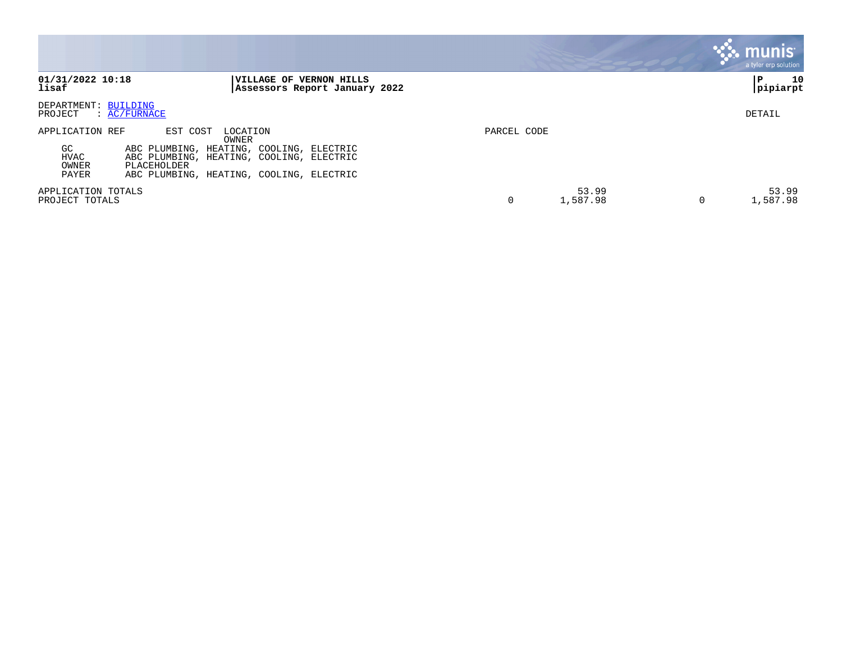|                                                                                                                                                                                           |                   | a tyler erp solution |
|-------------------------------------------------------------------------------------------------------------------------------------------------------------------------------------------|-------------------|----------------------|
| 01/31/2022 10:18<br>VILLAGE OF VERNON HILLS<br>lisaf<br>Assessors Report January 2022                                                                                                     |                   | 10<br>P<br>pipiarpt  |
| DEPARTMENT: BUILDING<br>: AC/FURNACE<br>PROJECT                                                                                                                                           |                   | DETAIL               |
| APPLICATION REF<br>EST COST<br>LOCATION                                                                                                                                                   | PARCEL CODE       |                      |
| OWNER<br>GC.<br>ABC PLUMBING, HEATING, COOLING, ELECTRIC<br>HVAC<br>ABC PLUMBING, HEATING, COOLING, ELECTRIC<br>OWNER<br>PLACEHOLDER<br>PAYER<br>ABC PLUMBING, HEATING, COOLING, ELECTRIC |                   |                      |
| APPLICATION TOTALS<br>PROJECT TOTALS                                                                                                                                                      | 53.99<br>1,587.98 | 53.99<br>1,587.98    |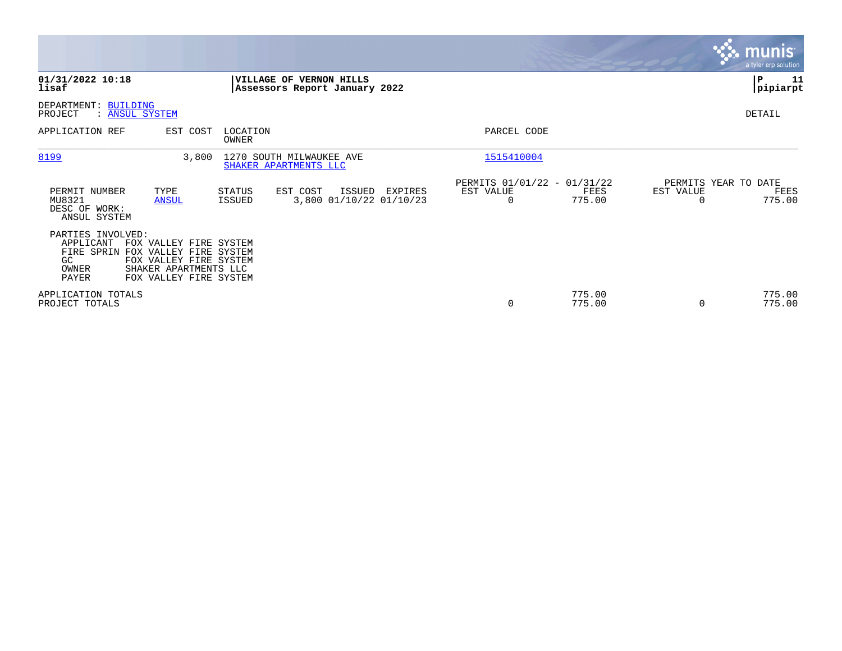|                                                          |                                                                                                                                          |                   |                                                                 |         |                                                      |                  |                                               | <b>munis</b><br>a tyler erp solution |
|----------------------------------------------------------|------------------------------------------------------------------------------------------------------------------------------------------|-------------------|-----------------------------------------------------------------|---------|------------------------------------------------------|------------------|-----------------------------------------------|--------------------------------------|
| 01/31/2022 10:18<br>lisaf                                |                                                                                                                                          |                   | <b>VILLAGE OF VERNON HILLS</b><br>Assessors Report January 2022 |         |                                                      |                  |                                               | 11<br>P<br> pipiarpt                 |
| DEPARTMENT: BUILDING<br>PROJECT                          | : ANSUL SYSTEM                                                                                                                           |                   |                                                                 |         |                                                      |                  |                                               | DETAIL                               |
| APPLICATION REF                                          | EST COST                                                                                                                                 | LOCATION<br>OWNER |                                                                 |         | PARCEL CODE                                          |                  |                                               |                                      |
| 8199                                                     | 3,800                                                                                                                                    |                   | 1270 SOUTH MILWAUKEE AVE<br>SHAKER APARTMENTS LLC               |         | 1515410004                                           |                  |                                               |                                      |
| PERMIT NUMBER<br>MU8321<br>DESC OF WORK:<br>ANSUL SYSTEM | TYPE<br><b>ANSUL</b>                                                                                                                     | STATUS<br>ISSUED  | ISSUED<br>EST COST<br>3,800 01/10/22 01/10/23                   | EXPIRES | PERMITS 01/01/22 - 01/31/22<br>EST VALUE<br>$\Omega$ | FEES<br>775.00   | PERMITS YEAR TO DATE<br>EST VALUE<br>$\Omega$ | FEES<br>775.00                       |
| PARTIES INVOLVED:<br>APPLICANT<br>GC<br>OWNER<br>PAYER   | FOX VALLEY FIRE SYSTEM<br>FIRE SPRIN FOX VALLEY FIRE SYSTEM<br>FOX VALLEY FIRE SYSTEM<br>SHAKER APARTMENTS LLC<br>FOX VALLEY FIRE SYSTEM |                   |                                                                 |         |                                                      |                  |                                               |                                      |
| APPLICATION TOTALS<br>PROJECT TOTALS                     |                                                                                                                                          |                   |                                                                 |         | 0                                                    | 775.00<br>775.00 | 0                                             | 775.00<br>775.00                     |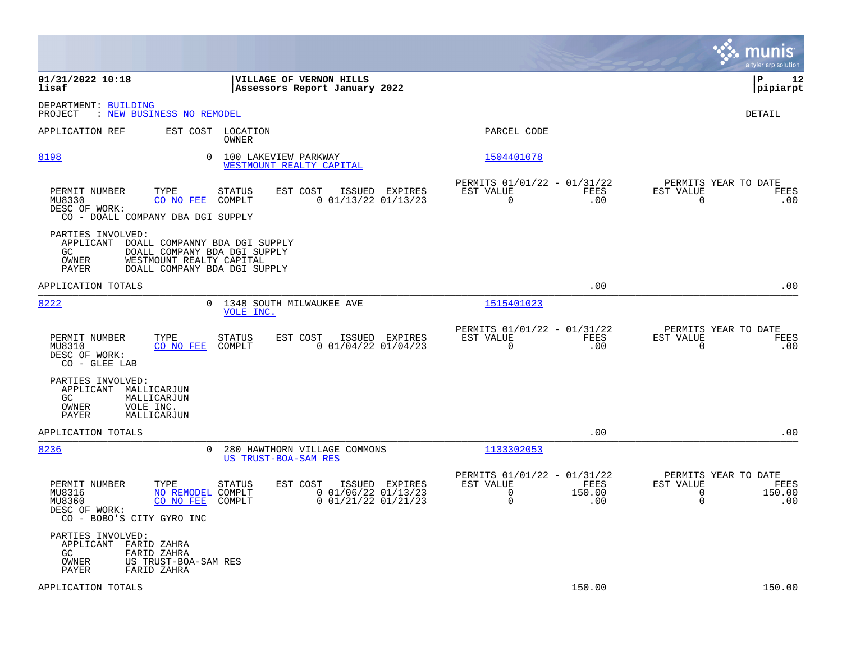|                                                                                                                          |                                                                                                                       |                                                                                                 | munis<br>a tyler erp solution                                                            |
|--------------------------------------------------------------------------------------------------------------------------|-----------------------------------------------------------------------------------------------------------------------|-------------------------------------------------------------------------------------------------|------------------------------------------------------------------------------------------|
| 01/31/2022 10:18<br>lisaf                                                                                                | VILLAGE OF VERNON HILLS<br>Assessors Report January 2022                                                              |                                                                                                 | l P<br>12<br> pipiarpt                                                                   |
| DEPARTMENT: BUILDING<br>: NEW BUSINESS NO REMODEL<br>PROJECT                                                             |                                                                                                                       |                                                                                                 | <b>DETAIL</b>                                                                            |
| APPLICATION REF                                                                                                          | EST COST LOCATION<br>OWNER                                                                                            | PARCEL CODE                                                                                     |                                                                                          |
| 8198                                                                                                                     | $\mathbf{0}$<br>100 LAKEVIEW PARKWAY<br>WESTMOUNT REALTY CAPITAL                                                      | 1504401078                                                                                      |                                                                                          |
| PERMIT NUMBER<br>TYPE<br>MU8330<br>CO NO FEE<br>DESC OF WORK:<br>CO - DOALL COMPANY DBA DGI SUPPLY                       | EST COST<br>ISSUED EXPIRES<br>STATUS<br>COMPLT<br>$0$ 01/13/22 01/13/23                                               | PERMITS 01/01/22 - 01/31/22<br>EST VALUE<br>FEES<br>$\Omega$<br>.00                             | PERMITS YEAR TO DATE<br>EST VALUE<br>FEES<br>0<br>.00                                    |
| PARTIES INVOLVED:<br>APPLICANT DOALL COMPANNY BDA DGI SUPPLY<br>GC<br><b>OWNER</b><br>PAYER                              | DOALL COMPANY BDA DGI SUPPLY<br>WESTMOUNT REALTY CAPITAL<br>DOALL COMPANY BDA DGI SUPPLY                              |                                                                                                 |                                                                                          |
| APPLICATION TOTALS                                                                                                       |                                                                                                                       | .00                                                                                             | .00                                                                                      |
| 8222                                                                                                                     | 0 1348 SOUTH MILWAUKEE AVE<br>VOLE INC.                                                                               | 1515401023                                                                                      |                                                                                          |
| PERMIT NUMBER<br>TYPE<br>MU8310<br>CO NO FEE<br>DESC OF WORK:<br>$CO - GLEE$ LAB                                         | <b>STATUS</b><br>EST COST<br>ISSUED EXPIRES<br>COMPLT<br>$0$ 01/04/22 01/04/23                                        | PERMITS 01/01/22 - 01/31/22<br>EST VALUE<br>FEES<br>$\Omega$<br>.00                             | PERMITS YEAR TO DATE<br>EST VALUE<br>FEES<br>$\Omega$<br>.00                             |
| PARTIES INVOLVED:<br>APPLICANT MALLICARJUN<br>GC<br>MALLICARJUN<br>OWNER<br>VOLE INC.<br>PAYER<br>MALLICARJUN            |                                                                                                                       |                                                                                                 |                                                                                          |
| APPLICATION TOTALS                                                                                                       |                                                                                                                       | .00                                                                                             | .00                                                                                      |
| 8236                                                                                                                     | 280 HAWTHORN VILLAGE COMMONS<br>$\Omega$<br>US TRUST-BOA-SAM RES                                                      | 1133302053                                                                                      |                                                                                          |
| PERMIT NUMBER<br>TYPE<br>MU8316<br>MU8360<br>CO NO FEE<br>DESC OF WORK:<br>CO - BOBO'S CITY GYRO INC                     | ISSUED EXPIRES<br>STATUS<br>EST COST<br>$0$ 01/06/22 01/13/23<br>NO REMODEL COMPLT<br>$0$ 01/21/22 01/21/23<br>COMPLT | PERMITS 01/01/22 - 01/31/22<br>EST VALUE<br>FEES<br>$\overline{0}$<br>150.00<br>$\Omega$<br>.00 | PERMITS YEAR TO DATE<br>EST VALUE<br>FEES<br>$\overline{0}$<br>150.00<br>$\Omega$<br>.00 |
| PARTIES INVOLVED:<br>APPLICANT FARID ZAHRA<br>GC<br>FARID ZAHRA<br>OWNER<br>US TRUST-BOA-SAM RES<br>FARID ZAHRA<br>PAYER |                                                                                                                       |                                                                                                 |                                                                                          |
| APPLICATION TOTALS                                                                                                       |                                                                                                                       | 150.00                                                                                          | 150.00                                                                                   |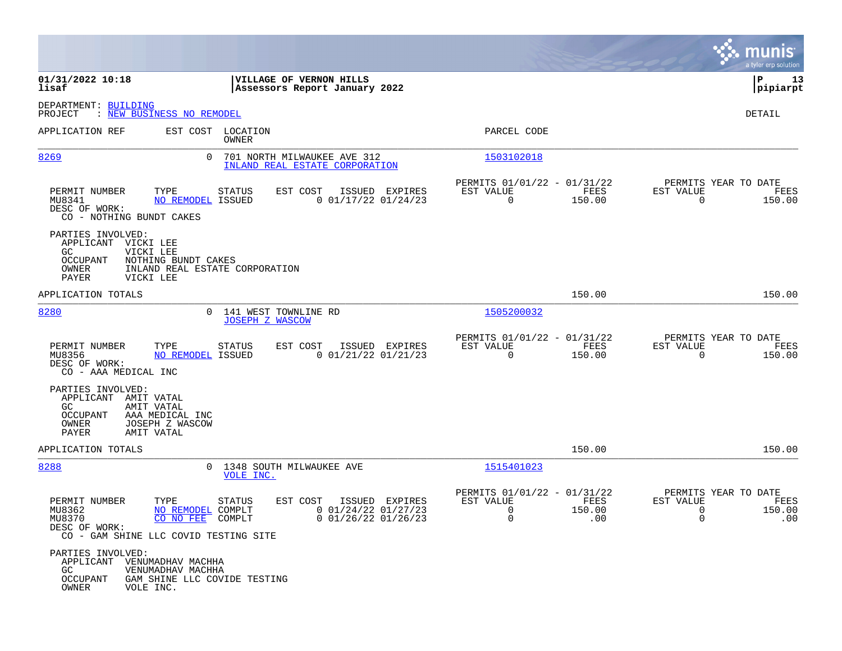|                                                                                                                                                  |                                                                                     |                                                                                    | munis<br>a tyler erp solution                                                                     |
|--------------------------------------------------------------------------------------------------------------------------------------------------|-------------------------------------------------------------------------------------|------------------------------------------------------------------------------------|---------------------------------------------------------------------------------------------------|
| 01/31/2022 10:18<br>lisaf                                                                                                                        | VILLAGE OF VERNON HILLS<br>Assessors Report January 2022                            |                                                                                    | lР<br>13<br> pipiarpt                                                                             |
| DEPARTMENT: BUILDING<br>: NEW BUSINESS NO REMODEL<br>PROJECT                                                                                     |                                                                                     |                                                                                    | DETAIL                                                                                            |
| APPLICATION REF                                                                                                                                  | EST COST LOCATION<br>OWNER                                                          | PARCEL CODE                                                                        |                                                                                                   |
| 8269                                                                                                                                             | $\Omega$<br>701 NORTH MILWAUKEE AVE 312<br>INLAND REAL ESTATE CORPORATION           | 1503102018                                                                         |                                                                                                   |
| PERMIT NUMBER<br>TYPE<br>MU8341<br>NO REMODEL ISSUED<br>DESC OF WORK:<br>CO - NOTHING BUNDT CAKES                                                | EST COST<br>ISSUED EXPIRES<br>STATUS<br>$0$ 01/17/22 01/24/23                       | PERMITS 01/01/22 - 01/31/22<br>EST VALUE<br>FEES<br>$\overline{0}$<br>150.00       | PERMITS YEAR TO DATE<br>EST VALUE<br>FEES<br>$\mathbf 0$<br>150.00                                |
| PARTIES INVOLVED:<br>APPLICANT VICKI LEE<br>GC.<br>VICKI LEE<br><b>OCCUPANT</b><br>NOTHING BUNDT CAKES<br>OWNER<br><b>PAYER</b><br>VICKI LEE     | INLAND REAL ESTATE CORPORATION                                                      |                                                                                    |                                                                                                   |
| APPLICATION TOTALS                                                                                                                               |                                                                                     | 150.00                                                                             | 150.00                                                                                            |
| 8280                                                                                                                                             | 0 141 WEST TOWNLINE RD<br><b>JOSEPH Z WASCOW</b>                                    | 1505200032                                                                         |                                                                                                   |
| PERMIT NUMBER<br>TYPE<br>NO REMODEL ISSUED<br>MU8356<br>DESC OF WORK:<br>CO - AAA MEDICAL INC                                                    | STATUS<br>EST COST<br>ISSUED EXPIRES<br>$0$ 01/21/22 01/21/23                       | PERMITS 01/01/22 - 01/31/22<br>FEES<br>EST VALUE<br>$\mathbf 0$<br>150.00          | PERMITS YEAR TO DATE<br>EST VALUE<br>FEES<br>$\Omega$<br>150.00                                   |
| PARTIES INVOLVED:<br>APPLICANT AMIT VATAL<br>GC.<br>AMIT VATAL<br>OCCUPANT<br>AAA MEDICAL INC<br>OWNER<br>JOSEPH Z WASCOW<br>PAYER<br>AMIT VATAL |                                                                                     |                                                                                    |                                                                                                   |
| APPLICATION TOTALS                                                                                                                               |                                                                                     | 150.00                                                                             | 150.00                                                                                            |
| 8288                                                                                                                                             | 0 1348 SOUTH MILWAUKEE AVE<br>VOLE INC.                                             | 1515401023                                                                         |                                                                                                   |
| PERMIT NUMBER<br>TYPE<br>MU8362<br>NO REMODEL COMPLT<br>MU8370<br>CO NO FEE COMPLT<br>DESC OF WORK:<br>CO - GAM SHINE LLC COVID TESTING SITE     | EST COST ISSUED EXPIRES<br>STATUS<br>$0$ 01/24/22 01/27/23<br>$0$ 01/26/22 01/26/23 | PERMITS 01/01/22 - 01/31/22<br>EST VALUE<br>FEES<br>0<br>150.00<br>$\Omega$<br>.00 | PERMITS YEAR TO DATE<br>EST VALUE<br>FEES<br>$\mathbf 0$<br>150.00<br>$\Omega$<br>$\overline{00}$ |
| PARTIES INVOLVED:<br>APPLICANT VENUMADHAV MACHHA<br>GC<br>VENUMADHAV MACHHA<br>GAM SHINE LLC COVIDE TESTING<br>OCCUPANT<br>OWNER<br>VOLE INC.    |                                                                                     |                                                                                    |                                                                                                   |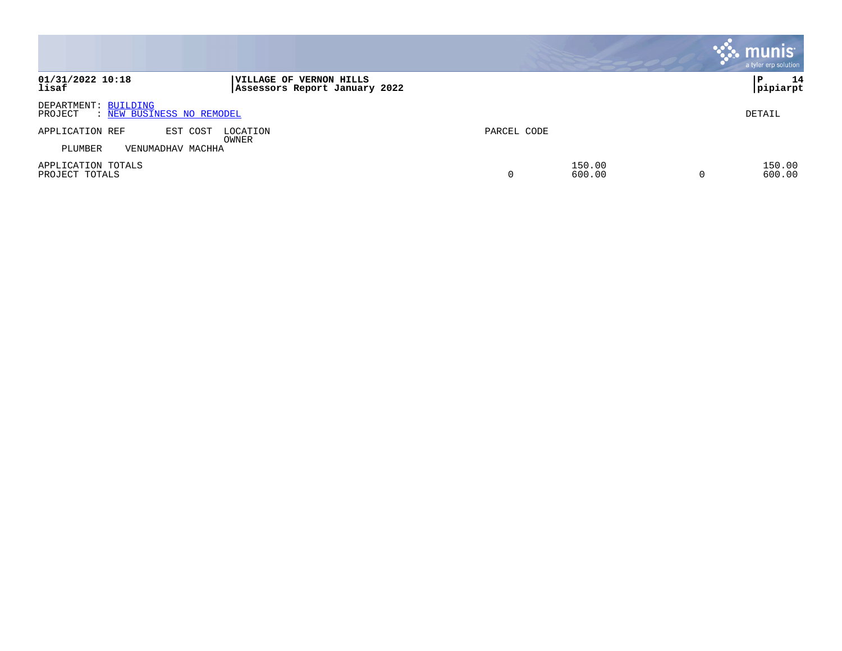|                                                              |                                                          |             |                  | <b>munis</b><br>a tyler erp solution |
|--------------------------------------------------------------|----------------------------------------------------------|-------------|------------------|--------------------------------------|
| 01/31/2022 10:18<br>lisaf                                    | VILLAGE OF VERNON HILLS<br>Assessors Report January 2022 |             |                  | 14<br>P<br> pipiarpt                 |
| DEPARTMENT: BUILDING<br>: NEW BUSINESS NO REMODEL<br>PROJECT |                                                          |             |                  | DETAIL                               |
| APPLICATION REF<br>EST COST<br>PLUMBER<br>VENUMADHAV MACHHA  | LOCATION<br>OWNER                                        | PARCEL CODE |                  |                                      |
| APPLICATION TOTALS<br>PROJECT TOTALS                         |                                                          |             | 150.00<br>600.00 | 150.00<br>600.00                     |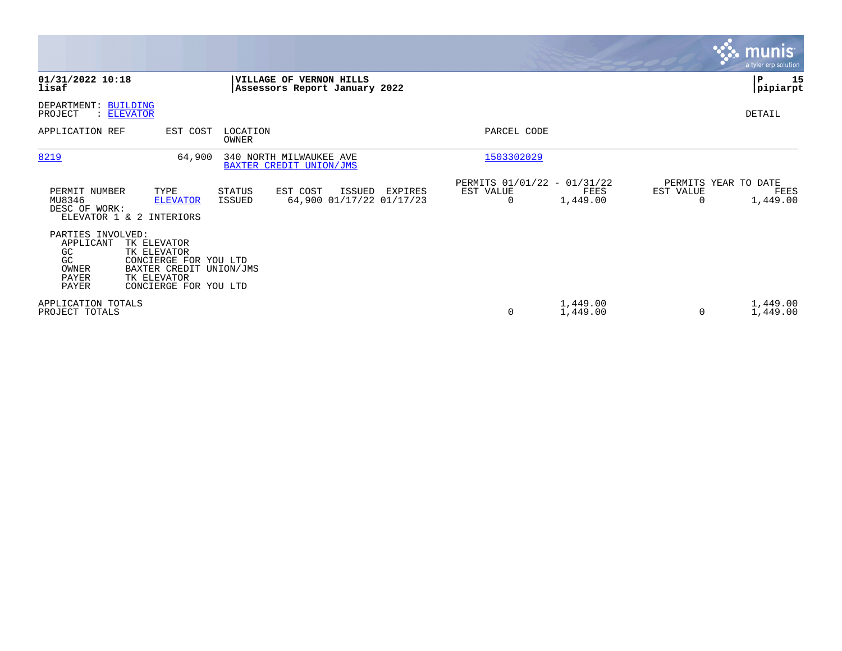|                                                                                                                                                                                                 |                                                                    |                                                                              | <b>munis</b><br>a tyler erp solution                  |
|-------------------------------------------------------------------------------------------------------------------------------------------------------------------------------------------------|--------------------------------------------------------------------|------------------------------------------------------------------------------|-------------------------------------------------------|
| 01/31/2022 10:18<br>lisaf                                                                                                                                                                       | VILLAGE OF VERNON HILLS<br>Assessors Report January 2022           |                                                                              | P<br>15<br> pipiarpt                                  |
| DEPARTMENT: BUILDING<br>PROJECT<br>: ELEVATOR                                                                                                                                                   |                                                                    |                                                                              | DETAIL                                                |
| EST COST<br>APPLICATION REF                                                                                                                                                                     | LOCATION<br>OWNER                                                  | PARCEL CODE                                                                  |                                                       |
| 8219<br>64,900                                                                                                                                                                                  | 340 NORTH MILWAUKEE AVE<br>BAXTER CREDIT UNION/JMS                 | 1503302029                                                                   |                                                       |
| PERMIT NUMBER<br>TYPE<br>MU8346<br><b>ELEVATOR</b><br>DESC OF WORK:<br>ELEVATOR 1 & 2 INTERIORS                                                                                                 | STATUS<br>EST COST<br>ISSUED<br>64,900 01/17/22 01/17/23<br>ISSUED | PERMITS 01/01/22 - 01/31/22<br>EXPIRES<br>EST VALUE<br>FEES<br>1,449.00<br>0 | PERMITS YEAR TO DATE<br>EST VALUE<br>FEES<br>1,449.00 |
| PARTIES INVOLVED:<br>APPLICANT<br>TK ELEVATOR<br>GC<br>TK ELEVATOR<br>GC<br>CONCIERGE FOR YOU LTD<br>BAXTER CREDIT UNION/JMS<br>OWNER<br>PAYER<br>TK ELEVATOR<br>PAYER<br>CONCIERGE FOR YOU LTD |                                                                    |                                                                              |                                                       |
| APPLICATION TOTALS<br>PROJECT TOTALS                                                                                                                                                            |                                                                    | 1,449.00<br>0<br>1,449.00                                                    | 1,449.00<br>1,449.00<br>0                             |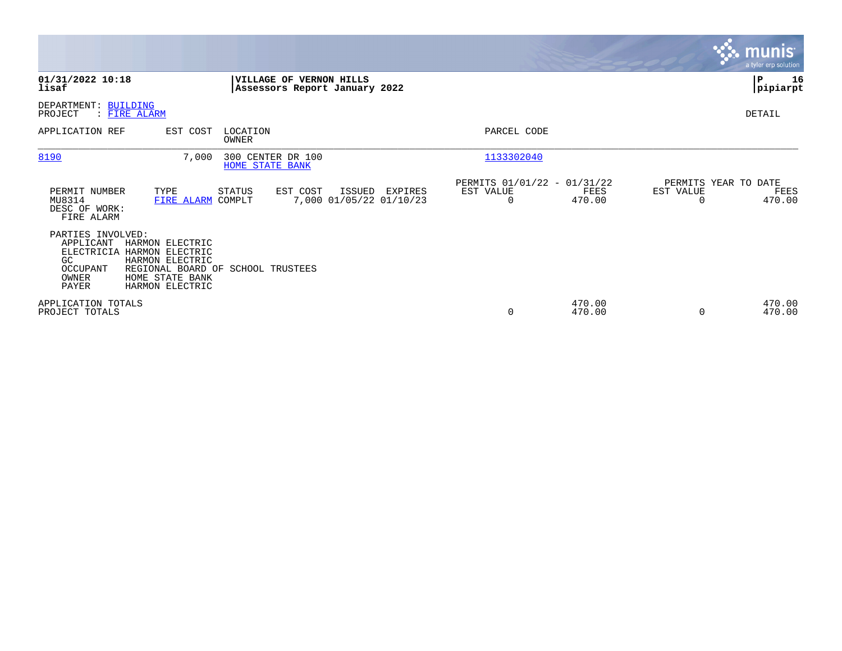|                                                                                                       |                                                                                                                                  |                        |                                                          |        |                                    |                                               |                  |           | <b>munis</b><br>a tyler erp solution   |
|-------------------------------------------------------------------------------------------------------|----------------------------------------------------------------------------------------------------------------------------------|------------------------|----------------------------------------------------------|--------|------------------------------------|-----------------------------------------------|------------------|-----------|----------------------------------------|
| 01/31/2022 10:18<br>lisaf                                                                             |                                                                                                                                  |                        | VILLAGE OF VERNON HILLS<br>Assessors Report January 2022 |        |                                    |                                               |                  |           | ∣P<br>16<br> pipiarpt                  |
| DEPARTMENT: BUILDING<br>: FIRE ALARM<br>PROJECT                                                       |                                                                                                                                  |                        |                                                          |        |                                    |                                               |                  |           | DETAIL                                 |
| APPLICATION REF                                                                                       | EST COST                                                                                                                         | LOCATION<br>OWNER      |                                                          |        |                                    | PARCEL CODE                                   |                  |           |                                        |
| 8190                                                                                                  | 7,000                                                                                                                            | <b>HOME STATE BANK</b> | 300 CENTER DR 100                                        |        |                                    | 1133302040                                    |                  |           |                                        |
| PERMIT NUMBER<br>MU8314<br>DESC OF WORK:<br>FIRE ALARM                                                | TYPE<br>FIRE ALARM COMPLT                                                                                                        | STATUS                 | EST COST                                                 | ISSUED | EXPIRES<br>7,000 01/05/22 01/10/23 | PERMITS 01/01/22 - 01/31/22<br>EST VALUE<br>0 | FEES<br>470.00   | EST VALUE | PERMITS YEAR TO DATE<br>FEES<br>470.00 |
| PARTIES INVOLVED:<br>APPLICANT<br><b>ELECTRICIA</b><br>GC<br><b>OCCUPANT</b><br>OWNER<br><b>PAYER</b> | HARMON ELECTRIC<br>HARMON ELECTRIC<br>HARMON ELECTRIC<br>REGIONAL BOARD OF SCHOOL TRUSTEES<br>HOME STATE BANK<br>HARMON ELECTRIC |                        |                                                          |        |                                    |                                               |                  |           |                                        |
| APPLICATION TOTALS<br>PROJECT TOTALS                                                                  |                                                                                                                                  |                        |                                                          |        |                                    | 0                                             | 470.00<br>470.00 | $\Omega$  | 470.00<br>470.00                       |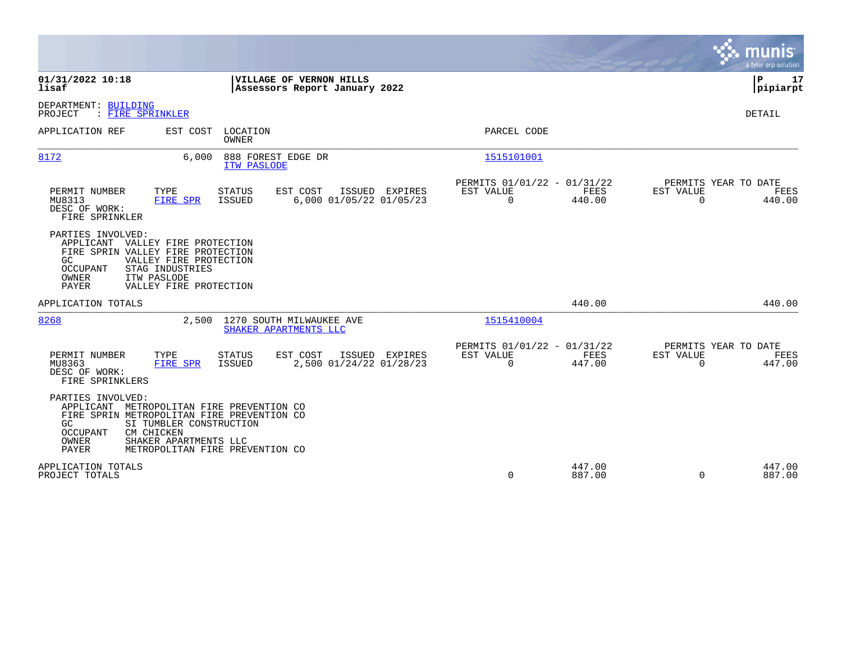|                                                                                                                                                                                                                                                                  |                                                                           | munis<br>a tyler erp solution                                   |
|------------------------------------------------------------------------------------------------------------------------------------------------------------------------------------------------------------------------------------------------------------------|---------------------------------------------------------------------------|-----------------------------------------------------------------|
| 01/31/2022 10:18<br>VILLAGE OF VERNON HILLS<br>lisaf<br>Assessors Report January 2022                                                                                                                                                                            |                                                                           | Þ<br>17<br> pipiarpt                                            |
| DEPARTMENT: BUILDING<br>: FIRE SPRINKLER<br>PROJECT                                                                                                                                                                                                              |                                                                           | <b>DETAIL</b>                                                   |
| APPLICATION REF<br>EST COST<br>LOCATION<br><b>OWNER</b>                                                                                                                                                                                                          | PARCEL CODE                                                               |                                                                 |
| 8172<br>6,000<br>888 FOREST EDGE DR<br>ITW PASLODE                                                                                                                                                                                                               | 1515101001                                                                |                                                                 |
| PERMIT NUMBER<br>TYPE<br><b>STATUS</b><br>EST COST<br>ISSUED EXPIRES<br>6,000 01/05/22 01/05/23<br>MU8313<br><b>ISSUED</b><br>FIRE SPR<br>DESC OF WORK:<br>FIRE SPRINKLER                                                                                        | PERMITS 01/01/22 - 01/31/22<br>FEES<br>EST VALUE<br>$\Omega$<br>440.00    | PERMITS YEAR TO DATE<br>EST VALUE<br>FEES<br>440.00<br>$\Omega$ |
| PARTIES INVOLVED:<br>APPLICANT VALLEY FIRE PROTECTION<br>FIRE SPRIN VALLEY FIRE PROTECTION<br>GC.<br>VALLEY FIRE PROTECTION<br>OCCUPANT<br>STAG INDUSTRIES<br>OWNER<br>ITW PASLODE<br><b>PAYER</b><br>VALLEY FIRE PROTECTION                                     |                                                                           |                                                                 |
| APPLICATION TOTALS                                                                                                                                                                                                                                               | 440.00                                                                    | 440.00                                                          |
| 8268<br>2,500<br>1270 SOUTH MILWAUKEE AVE<br>SHAKER APARTMENTS LLC                                                                                                                                                                                               | 1515410004                                                                |                                                                 |
| PERMIT NUMBER<br>TYPE<br>EST COST<br>ISSUED EXPIRES<br><b>STATUS</b><br>2,500 01/24/22 01/28/23<br>MU8363<br>FIRE SPR<br>ISSUED<br>DESC OF WORK:<br>FIRE SPRINKLERS                                                                                              | PERMITS 01/01/22 - 01/31/22<br>EST VALUE<br>FEES<br>$\mathbf 0$<br>447.00 | PERMITS YEAR TO DATE<br>EST VALUE<br>FEES<br>$\Omega$<br>447.00 |
| PARTIES INVOLVED:<br>APPLICANT<br>METROPOLITAN FIRE PREVENTION CO<br>FIRE SPRIN METROPOLITAN FIRE PREVENTION CO<br>SI TUMBLER CONSTRUCTION<br>GC.<br>CM CHICKEN<br>OCCUPANT<br>OWNER<br>SHAKER APARTMENTS LLC<br><b>PAYER</b><br>METROPOLITAN FIRE PREVENTION CO |                                                                           |                                                                 |
| APPLICATION TOTALS<br>PROJECT TOTALS                                                                                                                                                                                                                             | 447.00<br>0<br>887.00                                                     | 447.00<br>887.00<br>$\Omega$                                    |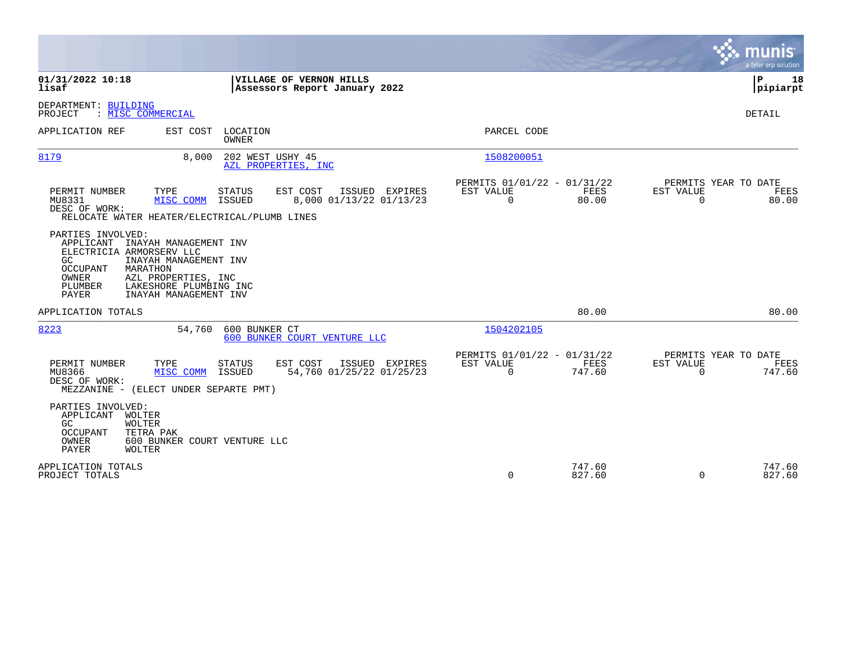|                                                                                                                                                                                                                                                          |                                                                             | munis<br>a tyler erp solution                                      |
|----------------------------------------------------------------------------------------------------------------------------------------------------------------------------------------------------------------------------------------------------------|-----------------------------------------------------------------------------|--------------------------------------------------------------------|
| 01/31/2022 10:18<br>VILLAGE OF VERNON HILLS<br>lisaf<br>Assessors Report January 2022                                                                                                                                                                    |                                                                             | ΙP<br>18<br> pipiarpt                                              |
| DEPARTMENT: BUILDING<br>PROJECT<br>: MISC COMMERCIAL                                                                                                                                                                                                     |                                                                             | <b>DETAIL</b>                                                      |
| LOCATION<br>APPLICATION REF<br>EST COST<br><b>OWNER</b>                                                                                                                                                                                                  | PARCEL CODE                                                                 |                                                                    |
| 8179<br>8,000<br>202 WEST USHY 45<br>AZL PROPERTIES, INC                                                                                                                                                                                                 | 1508200051                                                                  |                                                                    |
| TYPE<br><b>STATUS</b><br>EST COST<br>PERMIT NUMBER<br>ISSUED EXPIRES<br>MU8331<br><b>ISSUED</b><br>8,000 01/13/22 01/13/23<br>MISC COMM<br>DESC OF WORK:<br>RELOCATE WATER HEATER/ELECTRICAL/PLUMB LINES                                                 | PERMITS 01/01/22 - 01/31/22<br>EST VALUE<br>FEES<br>$\overline{0}$<br>80.00 | PERMITS YEAR TO DATE<br>EST VALUE<br>FEES<br>80.00<br>$\Omega$     |
| PARTIES INVOLVED:<br>APPLICANT<br>INAYAH MANAGEMENT INV<br>ELECTRICIA ARMORSERV LLC<br>GC<br>INAYAH MANAGEMENT INV<br><b>OCCUPANT</b><br>MARATHON<br>OWNER<br>AZL PROPERTIES, INC<br>PLUMBER<br>LAKESHORE PLUMBING INC<br>INAYAH MANAGEMENT INV<br>PAYER |                                                                             |                                                                    |
| APPLICATION TOTALS                                                                                                                                                                                                                                       | 80.00                                                                       | 80.00                                                              |
| 8223<br>600 BUNKER CT<br>54,760<br>600 BUNKER COURT VENTURE LLC                                                                                                                                                                                          | 1504202105                                                                  |                                                                    |
| EST COST<br>PERMIT NUMBER<br>TYPE<br><b>STATUS</b><br>ISSUED EXPIRES<br>MU8366<br>MISC COMM<br>ISSUED<br>54,760 01/25/22 01/25/23<br>DESC OF WORK:<br>MEZZANINE - (ELECT UNDER SEPARTE PMT)                                                              | PERMITS 01/01/22 - 01/31/22<br>FEES<br>EST VALUE<br>$\mathbf 0$<br>747.60   | PERMITS YEAR TO DATE<br>EST VALUE<br>FEES<br>$\mathbf 0$<br>747.60 |
| PARTIES INVOLVED:<br>APPLICANT<br>WOLTER<br><b>WOLTER</b><br>GC<br><b>OCCUPANT</b><br>TETRA PAK<br>OWNER<br>600 BUNKER COURT VENTURE LLC<br>PAYER<br>WOLTER                                                                                              |                                                                             |                                                                    |
| APPLICATION TOTALS<br>PROJECT TOTALS                                                                                                                                                                                                                     | 747.60<br>$\Omega$<br>827.60                                                | 747.60<br>827.60<br>$\Omega$                                       |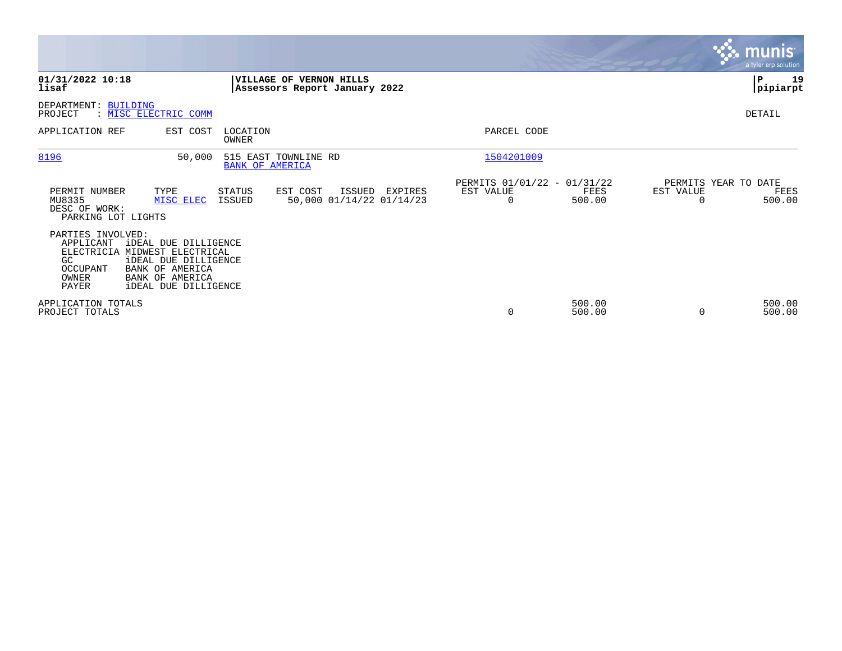|                                                                           |                                                                                                                                                                         |                        |                                                          |                                            |                                                         |                  |           | <b>munis</b><br>a tyler erp solution   |
|---------------------------------------------------------------------------|-------------------------------------------------------------------------------------------------------------------------------------------------------------------------|------------------------|----------------------------------------------------------|--------------------------------------------|---------------------------------------------------------|------------------|-----------|----------------------------------------|
| 01/31/2022 10:18<br>lisaf                                                 |                                                                                                                                                                         |                        | VILLAGE OF VERNON HILLS<br>Assessors Report January 2022 |                                            |                                                         |                  |           | ∣P<br>19<br> pipiarpt                  |
| DEPARTMENT: BUILDING<br>PROJECT                                           | : MISC ELECTRIC COMM                                                                                                                                                    |                        |                                                          |                                            |                                                         |                  |           | DETAIL                                 |
| APPLICATION REF                                                           | EST COST                                                                                                                                                                | LOCATION<br>OWNER      |                                                          |                                            | PARCEL CODE                                             |                  |           |                                        |
| 8196                                                                      | 50,000                                                                                                                                                                  | <b>BANK OF AMERICA</b> | 515 EAST TOWNLINE RD                                     |                                            | 1504201009                                              |                  |           |                                        |
| PERMIT NUMBER<br>MU8335<br>DESC OF WORK:<br>PARKING LOT LIGHTS            | TYPE<br>MISC ELEC                                                                                                                                                       | STATUS<br>ISSUED       | EST COST                                                 | ISSUED EXPIRES<br>50,000 01/14/22 01/14/23 | PERMITS 01/01/22 - 01/31/22<br>EST VALUE<br>$\mathbf 0$ | FEES<br>500.00   | EST VALUE | PERMITS YEAR TO DATE<br>FEES<br>500.00 |
| PARTIES INVOLVED:<br>APPLICANT<br>GC<br>OCCUPANT<br><b>OWNER</b><br>PAYER | <b>iDEAL DUE DILLIGENCE</b><br>ELECTRICIA MIDWEST ELECTRICAL<br><b>iDEAL DUE DILLIGENCE</b><br><b>BANK OF AMERICA</b><br>BANK OF AMERICA<br><b>iDEAL DUE DILLIGENCE</b> |                        |                                                          |                                            |                                                         |                  |           |                                        |
| APPLICATION TOTALS<br>PROJECT TOTALS                                      |                                                                                                                                                                         |                        |                                                          |                                            | 0                                                       | 500.00<br>500.00 | $\Omega$  | 500.00<br>500.00                       |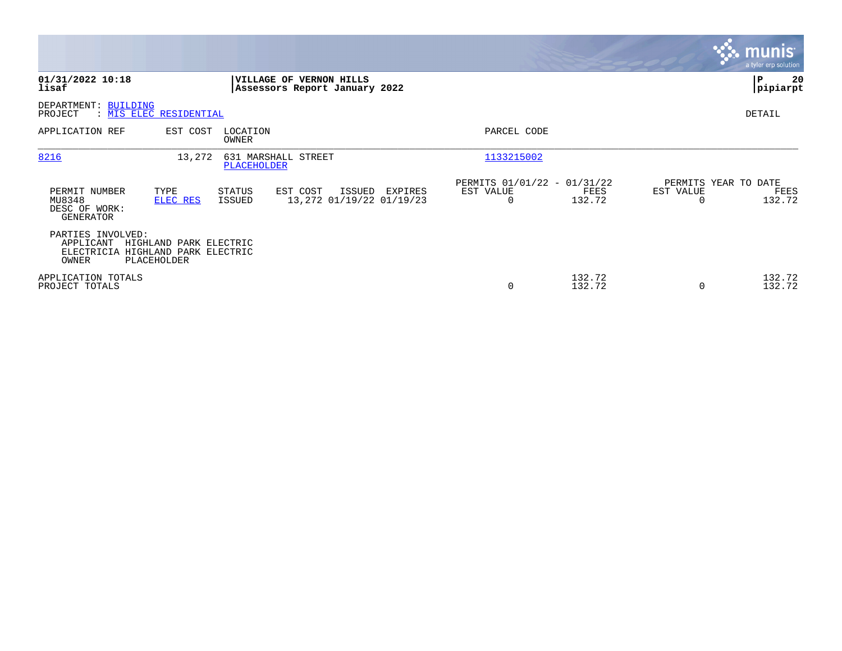|                                                                                                                                                 |                                                                                   | <b>munis</b><br>a tyler erp solution                            |
|-------------------------------------------------------------------------------------------------------------------------------------------------|-----------------------------------------------------------------------------------|-----------------------------------------------------------------|
| 01/31/2022 10:18<br>VILLAGE OF VERNON HILLS<br>lisaf<br>Assessors Report January 2022                                                           |                                                                                   | P<br>20<br> pipiarpt                                            |
| DEPARTMENT: BUILDING<br>PROJECT<br>: MIS ELEC RESIDENTIAL                                                                                       |                                                                                   | DETAIL                                                          |
| APPLICATION REF<br>EST COST<br>LOCATION<br>OWNER                                                                                                | PARCEL CODE                                                                       |                                                                 |
| 8216<br>13,272<br>631 MARSHALL STREET<br><b>PLACEHOLDER</b>                                                                                     | 1133215002                                                                        |                                                                 |
| PERMIT NUMBER<br>TYPE<br>STATUS<br>EST COST<br>ISSUED<br>13,272 01/19/22 01/19/23<br>MU8348<br>ELEC RES<br>ISSUED<br>DESC OF WORK:<br>GENERATOR | PERMITS 01/01/22 - 01/31/22<br>EST VALUE<br>EXPIRES<br>FEES<br>132.72<br>$\Omega$ | PERMITS YEAR TO DATE<br>EST VALUE<br>FEES<br>132.72<br>$\Omega$ |
| PARTIES INVOLVED:<br>APPLICANT<br>HIGHLAND PARK ELECTRIC<br>ELECTRICIA HIGHLAND PARK ELECTRIC<br>OWNER<br>PLACEHOLDER                           |                                                                                   |                                                                 |
| APPLICATION TOTALS<br>PROJECT TOTALS                                                                                                            | 132.72<br>132.72<br>0                                                             | 132.72<br>132.72<br>$\Omega$                                    |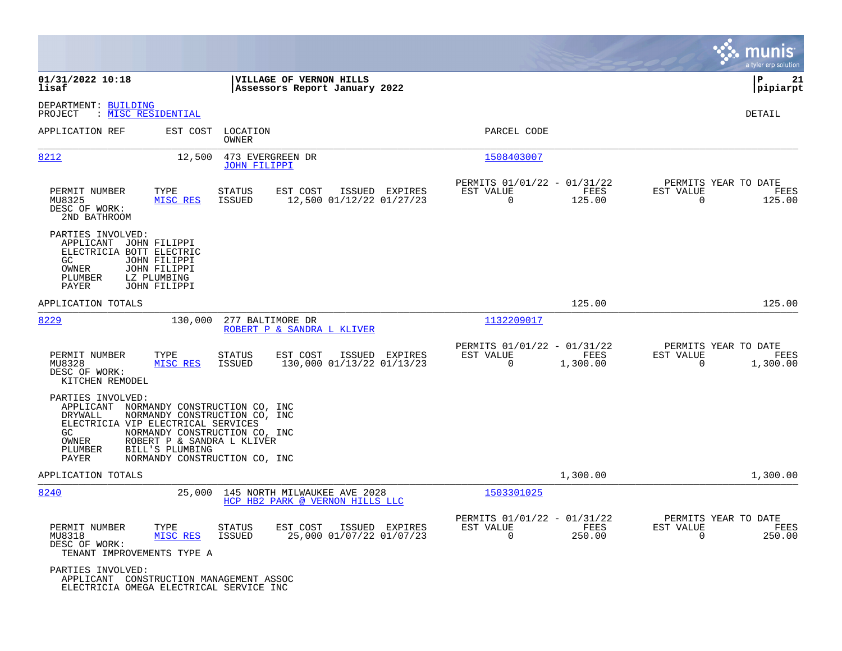|                                                                                                                                                                                                                                                                                                         | munis<br>a tyler erp solution                                                                                                                                                           |
|---------------------------------------------------------------------------------------------------------------------------------------------------------------------------------------------------------------------------------------------------------------------------------------------------------|-----------------------------------------------------------------------------------------------------------------------------------------------------------------------------------------|
| VILLAGE OF VERNON HILLS<br>01/31/2022 10:18<br>lisaf<br>Assessors Report January 2022                                                                                                                                                                                                                   | ΙP<br>21<br> pipiarpt                                                                                                                                                                   |
| DEPARTMENT: BUILDING<br>PROJECT<br>: <u>MISC RESIDENTIAL</u>                                                                                                                                                                                                                                            | DETAIL                                                                                                                                                                                  |
| EST COST<br>LOCATION<br>APPLICATION REF<br>OWNER                                                                                                                                                                                                                                                        | PARCEL CODE                                                                                                                                                                             |
| 8212<br>12,500<br>473 EVERGREEN DR<br><b>JOHN FILIPPI</b>                                                                                                                                                                                                                                               | 1508403007                                                                                                                                                                              |
| PERMIT NUMBER<br>TYPE<br>STATUS<br>EST COST<br>MISC RES<br>MU8325<br><b>ISSUED</b><br>DESC OF WORK:<br>2ND BATHROOM                                                                                                                                                                                     | PERMITS 01/01/22 - 01/31/22<br>PERMITS YEAR TO DATE<br>ISSUED EXPIRES<br>EST VALUE<br>FEES<br>EST VALUE<br>FEES<br>$\Omega$<br>125.00<br>12,500 01/12/22 01/27/23<br>$\Omega$<br>125.00 |
| PARTIES INVOLVED:<br>APPLICANT<br>JOHN FILIPPI<br>ELECTRICIA BOTT ELECTRIC<br>GC.<br>JOHN FILIPPI<br><b>JOHN FILIPPI</b><br>OWNER<br>PLUMBER<br>LZ PLUMBING<br>PAYER<br>JOHN FILIPPI                                                                                                                    |                                                                                                                                                                                         |
| APPLICATION TOTALS                                                                                                                                                                                                                                                                                      | 125.00<br>125.00                                                                                                                                                                        |
| 8229<br>130,000<br>277 BALTIMORE DR<br>ROBERT P & SANDRA L KLIVER                                                                                                                                                                                                                                       | 1132209017                                                                                                                                                                              |
| PERMIT NUMBER<br>TYPE<br><b>STATUS</b><br>EST COST<br>MISC RES<br><b>ISSUED</b><br>MU8328<br>DESC OF WORK:<br>KITCHEN REMODEL                                                                                                                                                                           | PERMITS YEAR TO DATE<br>PERMITS 01/01/22 - 01/31/22<br>EST VALUE<br>FEES<br>EST VALUE<br>ISSUED EXPIRES<br>FEES<br>130,000 01/13/22 01/13/23<br>1,300.00<br>0<br>1,300.00<br>0          |
| PARTIES INVOLVED:<br>APPLICANT<br>NORMANDY CONSTRUCTION CO, INC<br>DRYWALL<br>NORMANDY CONSTRUCTION CO, INC<br>ELECTRICIA VIP ELECTRICAL SERVICES<br>GC<br>NORMANDY CONSTRUCTION CO, INC<br>OWNER<br>ROBERT P & SANDRA L KLIVER<br>BILL'S PLUMBING<br>PLUMBER<br>PAYER<br>NORMANDY CONSTRUCTION CO, INC |                                                                                                                                                                                         |
| APPLICATION TOTALS                                                                                                                                                                                                                                                                                      | 1,300.00<br>1,300.00                                                                                                                                                                    |
| 8240<br>25,000<br>145 NORTH MILWAUKEE AVE 2028<br>HCP HB2 PARK @ VERNON HILLS LLC                                                                                                                                                                                                                       | 1503301025                                                                                                                                                                              |
| PERMIT NUMBER<br>TYPE<br><b>STATUS</b><br>EST COST<br>MISC RES<br>ISSUED<br>MU8318<br>DESC OF WORK:<br>TENANT IMPROVEMENTS TYPE A                                                                                                                                                                       | PERMITS 01/01/22 - 01/31/22<br>PERMITS YEAR TO DATE<br>FEES<br>ISSUED EXPIRES<br>EST VALUE<br>EST VALUE<br>FEES<br>25,000 01/07/22 01/07/23<br>0<br>$\overline{0}$<br>250.00<br>250.00  |
| PARTIES INVOLVED:<br>APPLICANT CONSTRUCTION MANAGEMENT ASSOC<br>ELECTRICIA OMEGA ELECTRICAL SERVICE INC                                                                                                                                                                                                 |                                                                                                                                                                                         |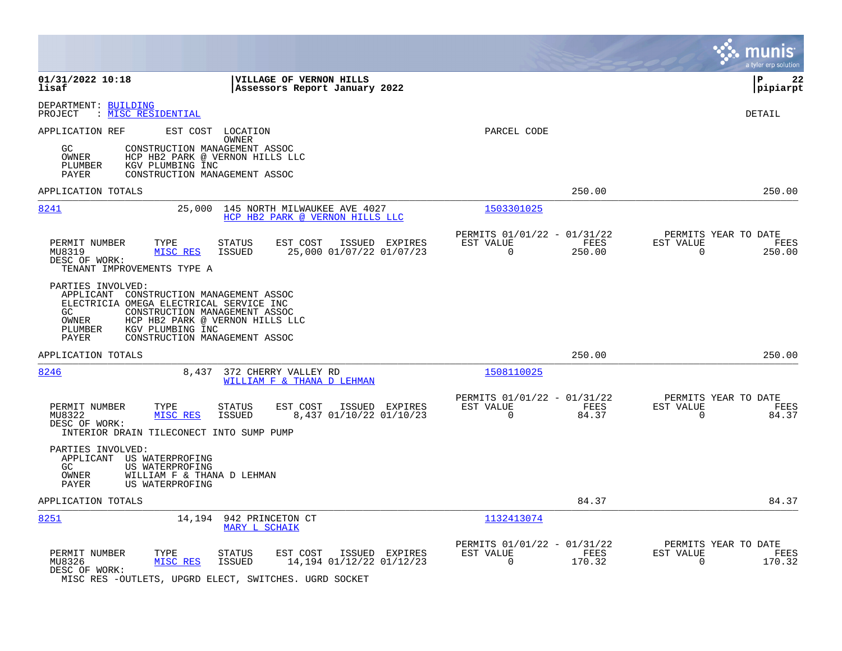|                                                                                                                                                                                                                                                                      |                                                                           | munis<br>a tyler erp solution                                      |
|----------------------------------------------------------------------------------------------------------------------------------------------------------------------------------------------------------------------------------------------------------------------|---------------------------------------------------------------------------|--------------------------------------------------------------------|
| 01/31/2022 10:18<br>VILLAGE OF VERNON HILLS<br>lisaf<br>Assessors Report January 2022                                                                                                                                                                                |                                                                           | ΙP<br>22<br>pipiarpt                                               |
| DEPARTMENT: BUILDING<br>: MISC RESIDENTIAL<br>PROJECT                                                                                                                                                                                                                |                                                                           | <b>DETAIL</b>                                                      |
| EST COST LOCATION<br>APPLICATION REF<br><b>OWNER</b><br>GC.<br>CONSTRUCTION MANAGEMENT ASSOC<br>OWNER<br>HCP HB2 PARK @ VERNON HILLS LLC<br>PLUMBER<br>KGV PLUMBING INC<br>PAYER<br>CONSTRUCTION MANAGEMENT ASSOC                                                    | PARCEL CODE                                                               |                                                                    |
| APPLICATION TOTALS                                                                                                                                                                                                                                                   | 250.00                                                                    | 250.00                                                             |
| 8241<br>25,000<br>145 NORTH MILWAUKEE AVE 4027<br>HCP HB2 PARK @ VERNON HILLS LLC                                                                                                                                                                                    | 1503301025                                                                |                                                                    |
| PERMIT NUMBER<br>TYPE<br><b>STATUS</b><br>EST COST<br>ISSUED EXPIRES<br>MISC RES<br>25,000 01/07/22 01/07/23<br>MU8319<br>ISSUED<br>DESC OF WORK:<br>TENANT IMPROVEMENTS TYPE A                                                                                      | PERMITS 01/01/22 - 01/31/22<br>EST VALUE<br>FEES<br>$\mathbf 0$<br>250.00 | PERMITS YEAR TO DATE<br>EST VALUE<br>FEES<br>$\mathbf 0$<br>250.00 |
| PARTIES INVOLVED:<br>APPLICANT CONSTRUCTION MANAGEMENT ASSOC<br>ELECTRICIA OMEGA ELECTRICAL SERVICE INC<br>GC.<br>CONSTRUCTION MANAGEMENT ASSOC<br>HCP HB2 PARK @ VERNON HILLS LLC<br>OWNER<br>PLUMBER<br>KGV PLUMBING INC<br>CONSTRUCTION MANAGEMENT ASSOC<br>PAYER |                                                                           |                                                                    |
| APPLICATION TOTALS                                                                                                                                                                                                                                                   | 250.00                                                                    | 250.00                                                             |
| 8246<br>372 CHERRY VALLEY RD<br>8,437<br>WILLIAM F & THANA D LEHMAN                                                                                                                                                                                                  | 1508110025                                                                |                                                                    |
| PERMIT NUMBER<br>TYPE<br>EST COST<br>ISSUED EXPIRES<br><b>STATUS</b><br>MISC RES<br>8,437 01/10/22 01/10/23<br>MU8322<br>ISSUED<br>DESC OF WORK:<br>INTERIOR DRAIN TILECONECT INTO SUMP PUMP                                                                         | PERMITS 01/01/22 - 01/31/22<br>EST VALUE<br>FEES<br>$\mathbf 0$<br>84.37  | PERMITS YEAR TO DATE<br>EST VALUE<br>FEES<br>$\mathbf 0$<br>84.37  |
| PARTIES INVOLVED:<br>APPLICANT US WATERPROFING<br>GC<br>US WATERPROFING<br>WILLIAM F & THANA D LEHMAN<br>OWNER<br>PAYER<br>US WATERPROFING                                                                                                                           |                                                                           |                                                                    |
| APPLICATION TOTALS                                                                                                                                                                                                                                                   | 84.37                                                                     | 84.37                                                              |
| 8251<br>14,194 942 PRINCETON CT<br>MARY L SCHAIK                                                                                                                                                                                                                     | 1132413074                                                                |                                                                    |
| PERMIT NUMBER<br>TYPE<br>EST COST<br>ISSUED EXPIRES<br>STATUS<br>14,194 01/12/22 01/12/23<br>MU8326<br>MISC RES<br><b>ISSUED</b><br>DESC OF WORK:<br>MISC RES -OUTLETS, UPGRD ELECT, SWITCHES. UGRD SOCKET                                                           | PERMITS 01/01/22 - 01/31/22<br>EST VALUE<br>FEES<br>0<br>170.32           | PERMITS YEAR TO DATE<br>EST VALUE<br>FEES<br>$\mathbf 0$<br>170.32 |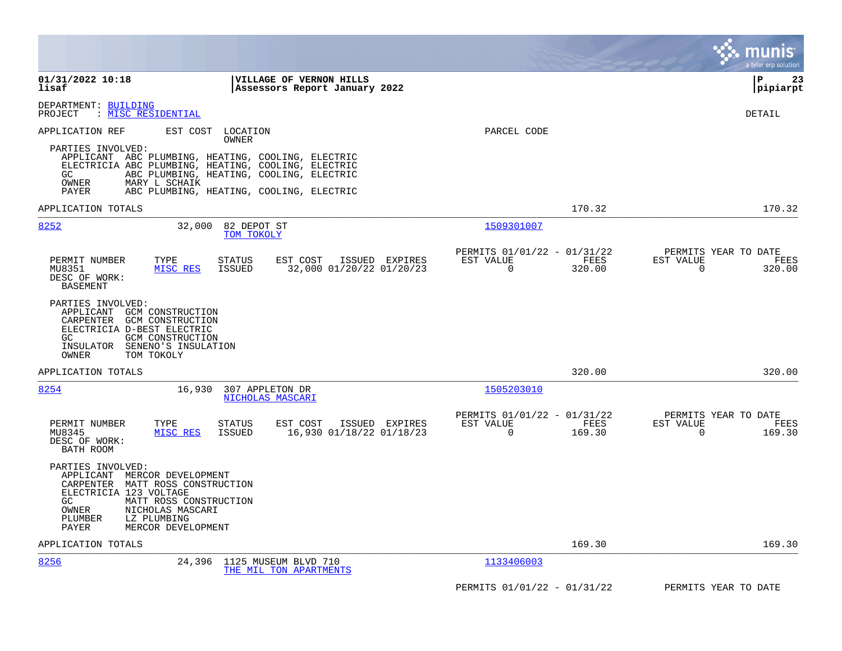|                                                                                                                                                                                                                                                                  |                                                                           | a tyler erp solution                                               |
|------------------------------------------------------------------------------------------------------------------------------------------------------------------------------------------------------------------------------------------------------------------|---------------------------------------------------------------------------|--------------------------------------------------------------------|
| 01/31/2022 10:18<br><b>VILLAGE OF VERNON HILLS</b><br>lisaf<br>Assessors Report January 2022                                                                                                                                                                     |                                                                           | l P<br>23<br> pipiarpt                                             |
| DEPARTMENT: BUILDING<br>: MISC RESIDENTIAL<br>PROJECT                                                                                                                                                                                                            |                                                                           | DETAIL                                                             |
| APPLICATION REF<br>EST COST<br>LOCATION<br>OWNER                                                                                                                                                                                                                 | PARCEL CODE                                                               |                                                                    |
| PARTIES INVOLVED:<br>APPLICANT ABC PLUMBING, HEATING, COOLING, ELECTRIC<br>ELECTRICIA ABC PLUMBING, HEATING, COOLING, ELECTRIC<br>GC.<br>ABC PLUMBING, HEATING, COOLING, ELECTRIC<br>OWNER<br>MARY L SCHAIK<br>PAYER<br>ABC PLUMBING, HEATING, COOLING, ELECTRIC |                                                                           |                                                                    |
| APPLICATION TOTALS                                                                                                                                                                                                                                               | 170.32                                                                    | 170.32                                                             |
| 8252<br>32,000<br>82 DEPOT ST<br>TOM TOKOLY                                                                                                                                                                                                                      | 1509301007                                                                |                                                                    |
| PERMIT NUMBER<br>TYPE<br>EST COST<br>ISSUED EXPIRES<br>STATUS<br>MU8351<br>MISC RES<br>ISSUED<br>32,000 01/20/22 01/20/23<br>DESC OF WORK:<br><b>BASEMENT</b>                                                                                                    | PERMITS 01/01/22 - 01/31/22<br>EST VALUE<br>FEES<br>$\mathbf 0$<br>320.00 | PERMITS YEAR TO DATE<br>EST VALUE<br>FEES<br>$\mathbf 0$<br>320.00 |
| PARTIES INVOLVED:<br>APPLICANT GCM CONSTRUCTION<br>CARPENTER GCM CONSTRUCTION<br>ELECTRICIA D-BEST ELECTRIC<br>GC.<br>GCM CONSTRUCTION<br>INSULATOR SENENO'S INSULATION<br>TOM TOKOLY<br>OWNER                                                                   |                                                                           |                                                                    |
| APPLICATION TOTALS                                                                                                                                                                                                                                               | 320.00                                                                    | 320.00                                                             |
| 8254<br>16,930<br>307 APPLETON DR<br>NICHOLAS MASCARI                                                                                                                                                                                                            | 1505203010                                                                |                                                                    |
| PERMIT NUMBER<br>TYPE<br><b>STATUS</b><br>EST COST<br>ISSUED EXPIRES<br>MISC RES<br>ISSUED<br>16,930 01/18/22 01/18/23<br>MU8345<br>DESC OF WORK:<br>BATH ROOM                                                                                                   | PERMITS 01/01/22 - 01/31/22<br>EST VALUE<br>FEES<br>$\mathbf 0$<br>169.30 | PERMITS YEAR TO DATE<br>EST VALUE<br>FEES<br>$\mathbf 0$<br>169.30 |
| PARTIES INVOLVED:<br>APPLICANT MERCOR DEVELOPMENT<br>CARPENTER MATT ROSS CONSTRUCTION<br>ELECTRICIA 123 VOLTAGE<br>GC.<br>MATT ROSS CONSTRUCTION<br>NICHOLAS MASCARI<br>OWNER<br>LZ PLUMBING<br>PLUMBER<br>PAYER<br>MERCOR DEVELOPMENT                           |                                                                           |                                                                    |
| APPLICATION TOTALS                                                                                                                                                                                                                                               | 169.30                                                                    | 169.30                                                             |
| 8256<br>24,396<br>1125 MUSEUM BLVD 710<br>THE MIL TON APARTMENTS                                                                                                                                                                                                 | 1133406003                                                                |                                                                    |
|                                                                                                                                                                                                                                                                  | PERMITS 01/01/22 - 01/31/22                                               | PERMITS YEAR TO DATE                                               |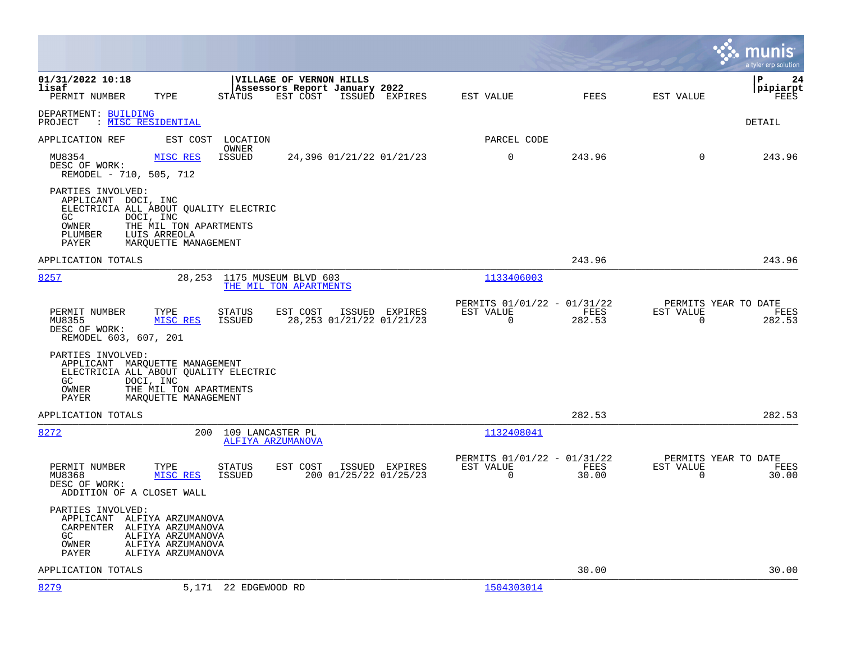|                                                                                                                                                                                                      |                                                                           | munis<br>a tyler erp solution                                      |
|------------------------------------------------------------------------------------------------------------------------------------------------------------------------------------------------------|---------------------------------------------------------------------------|--------------------------------------------------------------------|
| 01/31/2022 10:18<br>VILLAGE OF VERNON HILLS<br>lisaf<br>Assessors Report January 2022<br>EST COST<br>ISSUED EXPIRES<br>PERMIT NUMBER<br>TYPE<br>STATUS                                               | FEES<br>EST VALUE                                                         | 24<br>ΙP<br> pipiarpt<br>EST VALUE<br>FEES                         |
| DEPARTMENT: BUILDING<br>PROJECT : MISC RESIDENTIAL                                                                                                                                                   |                                                                           | DETAIL                                                             |
| APPLICATION REF<br>EST COST<br>LOCATION                                                                                                                                                              | PARCEL CODE                                                               |                                                                    |
| OWNER<br>MISC RES<br>MU8354<br>ISSUED<br>24,396 01/21/22 01/21/23<br>DESC OF WORK:<br>REMODEL - 710, 505, 712                                                                                        | $\mathbf 0$<br>243.96                                                     | 243.96<br>$\Omega$                                                 |
| PARTIES INVOLVED:<br>APPLICANT DOCI, INC<br>ELECTRICIA ALL ABOUT QUALITY ELECTRIC<br>DOCI, INC<br>GC.<br>THE MIL TON APARTMENTS<br>OWNER<br>LUIS ARREOLA<br>PLUMBER<br>MARQUETTE MANAGEMENT<br>PAYER |                                                                           |                                                                    |
| APPLICATION TOTALS                                                                                                                                                                                   | 243.96                                                                    | 243.96                                                             |
| 8257<br>28, 253 1175 MUSEUM BLVD 603<br>THE MIL TON APARTMENTS                                                                                                                                       | 1133406003                                                                |                                                                    |
| PERMIT NUMBER<br>TYPE<br>STATUS<br>EST COST<br>ISSUED EXPIRES<br>MISC RES<br>28,253 01/21/22 01/21/23<br>MU8355<br>ISSUED<br>DESC OF WORK:<br>REMODEL 603, 607, 201                                  | PERMITS 01/01/22 - 01/31/22<br>EST VALUE<br>FEES<br>$\mathbf 0$<br>282.53 | PERMITS YEAR TO DATE<br>EST VALUE<br>FEES<br>$\mathbf 0$<br>282.53 |
| PARTIES INVOLVED:<br>APPLICANT MARQUETTE MANAGEMENT<br>ELECTRICIA ALL ABOUT QUALITY ELECTRIC<br>DOCI, INC<br>GC<br>OWNER<br>THE MIL TON APARTMENTS<br>PAYER<br>MAROUETTE MANAGEMENT                  |                                                                           |                                                                    |
| APPLICATION TOTALS                                                                                                                                                                                   | 282.53                                                                    | 282.53                                                             |
| 8272<br>200<br>109 LANCASTER PL<br><b>ALFIYA ARZUMANOVA</b>                                                                                                                                          | 1132408041                                                                |                                                                    |
| PERMIT NUMBER<br>TYPE<br>EST COST<br>ISSUED EXPIRES<br>STATUS<br>MISC RES<br>200 01/25/22 01/25/23<br>MU8368<br>ISSUED<br>DESC OF WORK:<br>ADDITION OF A CLOSET WALL                                 | PERMITS 01/01/22 - 01/31/22<br>EST VALUE<br>FEES<br>$\mathbf 0$<br>30.00  | PERMITS YEAR TO DATE<br>EST VALUE<br>FEES<br>$\mathbf 0$<br>30.00  |
| PARTIES INVOLVED:<br>APPLICANT ALFIYA ARZUMANOVA<br>CARPENTER ALFIYA ARZUMANOVA<br>ALFIYA ARZUMANOVA<br>GC<br>OWNER<br>ALFIYA ARZUMANOVA<br>PAYER<br>ALFIYA ARZUMANOVA                               |                                                                           |                                                                    |
| APPLICATION TOTALS                                                                                                                                                                                   | 30.00                                                                     | 30.00                                                              |
| 8279<br>5,171 22 EDGEWOOD RD                                                                                                                                                                         | 1504303014                                                                |                                                                    |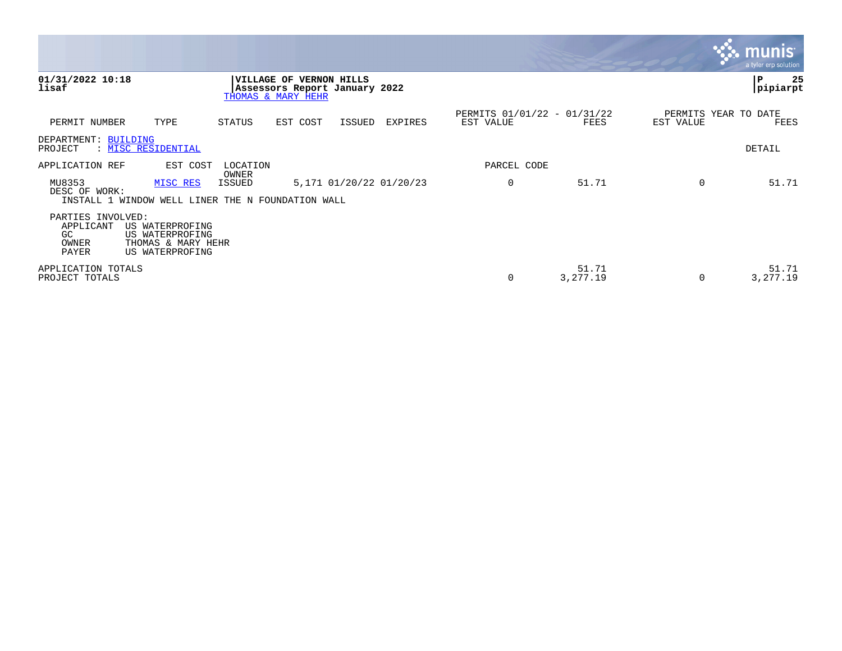|                                                         |                                                                             |                   |                                                                                |        |                         |                                          |                   |                                   | <b>R.M. MUNIST</b><br>a tyler erp solution |
|---------------------------------------------------------|-----------------------------------------------------------------------------|-------------------|--------------------------------------------------------------------------------|--------|-------------------------|------------------------------------------|-------------------|-----------------------------------|--------------------------------------------|
| 01/31/2022 10:18<br>lisaf                               |                                                                             |                   | VILLAGE OF VERNON HILLS<br>Assessors Report January 2022<br>THOMAS & MARY HEHR |        |                         |                                          |                   |                                   | 25<br> P<br> pipiarpt                      |
| PERMIT NUMBER                                           | TYPE                                                                        | STATUS            | EST COST                                                                       | ISSUED | EXPIRES                 | PERMITS 01/01/22 - 01/31/22<br>EST VALUE | FEES              | PERMITS YEAR TO DATE<br>EST VALUE | FEES                                       |
| DEPARTMENT: BUILDING<br>PROJECT                         | : MISC RESIDENTIAL                                                          |                   |                                                                                |        |                         |                                          |                   |                                   | DETAIL                                     |
| APPLICATION REF                                         | EST COST                                                                    | LOCATION<br>OWNER |                                                                                |        |                         | PARCEL CODE                              |                   |                                   |                                            |
| MU8353<br>DESC OF WORK:                                 | MISC RES<br>INSTALL 1 WINDOW WELL LINER THE N FOUNDATION WALL               | <b>ISSUED</b>     |                                                                                |        | 5,171 01/20/22 01/20/23 | $\mathbf 0$                              | 51.71             |                                   | 51.71                                      |
| PARTIES INVOLVED:<br>APPLICANT<br>GC.<br>OWNER<br>PAYER | US WATERPROFING<br>US WATERPROFING<br>THOMAS & MARY HEHR<br>US WATERPROFING |                   |                                                                                |        |                         |                                          |                   |                                   |                                            |
| APPLICATION TOTALS<br>PROJECT TOTALS                    |                                                                             |                   |                                                                                |        |                         | 0                                        | 51.71<br>3,277.19 |                                   | 51.71<br>3,277.19                          |

 $\sim$   $\sim$   $\sim$   $\sim$   $\sim$   $\sim$   $\sim$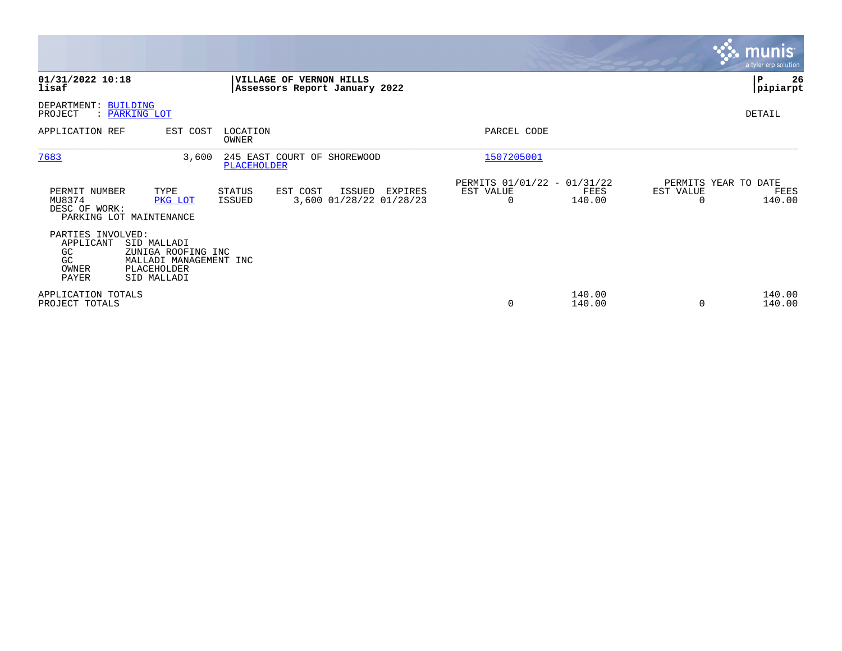|                                                                     |                                                                                           |                   |                                                          |         |                                               |                  |                                               | <b>munis</b><br>a tyler erp solution |
|---------------------------------------------------------------------|-------------------------------------------------------------------------------------------|-------------------|----------------------------------------------------------|---------|-----------------------------------------------|------------------|-----------------------------------------------|--------------------------------------|
| 01/31/2022 10:18<br>lisaf                                           |                                                                                           |                   | VILLAGE OF VERNON HILLS<br>Assessors Report January 2022 |         |                                               |                  |                                               | 26<br>P<br> pipiarpt                 |
| DEPARTMENT: BUILDING<br>PROJECT                                     | : PARKING LOT                                                                             |                   |                                                          |         |                                               |                  |                                               | DETAIL                               |
| APPLICATION REF                                                     | EST COST                                                                                  | LOCATION<br>OWNER |                                                          |         | PARCEL CODE                                   |                  |                                               |                                      |
| 7683                                                                | 3,600                                                                                     | PLACEHOLDER       | 245 EAST COURT OF SHOREWOOD                              |         | 1507205001                                    |                  |                                               |                                      |
| PERMIT NUMBER<br>MU8374<br>DESC OF WORK:<br>PARKING LOT MAINTENANCE | TYPE<br>PKG LOT                                                                           | STATUS<br>ISSUED  | EST COST<br>ISSUED<br>3,600 01/28/22 01/28/23            | EXPIRES | PERMITS 01/01/22 - 01/31/22<br>EST VALUE<br>0 | FEES<br>140.00   | PERMITS YEAR TO DATE<br>EST VALUE<br>$\Omega$ | FEES<br>140.00                       |
| PARTIES INVOLVED:<br>APPLICANT<br>GC.<br>GC<br>OWNER<br>PAYER       | SID MALLADI<br>ZUNIGA ROOFING INC<br>MALLADI MANAGEMENT INC<br>PLACEHOLDER<br>SID MALLADI |                   |                                                          |         |                                               |                  |                                               |                                      |
| APPLICATION TOTALS<br>PROJECT TOTALS                                |                                                                                           |                   |                                                          |         | 0                                             | 140.00<br>140.00 | $\Omega$                                      | 140.00<br>140.00                     |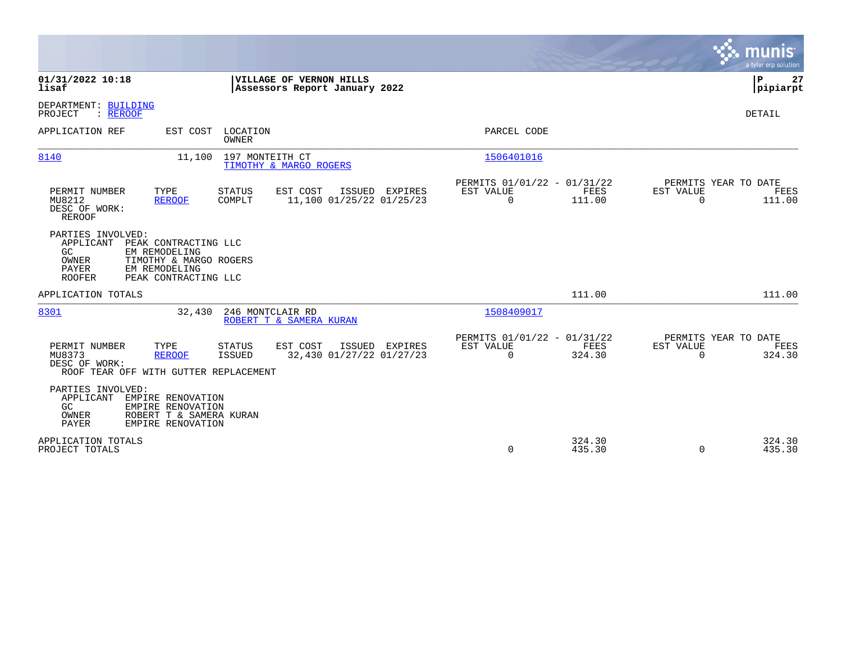|                                                                                                                                                                                                        |                                                                                  | a tyler erp solution                                                   |
|--------------------------------------------------------------------------------------------------------------------------------------------------------------------------------------------------------|----------------------------------------------------------------------------------|------------------------------------------------------------------------|
| 01/31/2022 10:18<br>VILLAGE OF VERNON HILLS<br>lisaf<br>Assessors Report January 2022                                                                                                                  |                                                                                  | Þ<br>27<br> pipiarpt                                                   |
| DEPARTMENT: BUILDING<br>PROJECT<br>: REROOF                                                                                                                                                            |                                                                                  | DETAIL                                                                 |
| APPLICATION REF<br>EST COST<br>LOCATION<br>OWNER                                                                                                                                                       | PARCEL CODE                                                                      |                                                                        |
| 11,100 197 MONTEITH CT<br>8140<br>TIMOTHY & MARGO ROGERS                                                                                                                                               | 1506401016                                                                       |                                                                        |
| PERMIT NUMBER<br>TYPE<br>EST COST<br><b>STATUS</b><br>ISSUED EXPIRES<br>11,100 01/25/22 01/25/23<br>MU8212<br><b>REROOF</b><br>COMPLT<br>DESC OF WORK:<br><b>REROOF</b>                                | PERMITS 01/01/22 - 01/31/22<br>EST VALUE<br>FEES<br>$\Omega$<br>111.00           | PERMITS YEAR TO DATE<br><b>EST VALUE</b><br>FEES<br>111.00<br>$\Omega$ |
| PARTIES INVOLVED:<br>APPLICANT<br>PEAK CONTRACTING LLC<br>GC<br>EM REMODELING<br>TIMOTHY & MARGO ROGERS<br>OWNER<br>PAYER<br>EM REMODELING<br><b>ROOFER</b><br>PEAK CONTRACTING LLC                    |                                                                                  |                                                                        |
| APPLICATION TOTALS                                                                                                                                                                                     | 111.00                                                                           | 111.00                                                                 |
| 8301<br>246 MONTCLAIR RD<br>32,430<br>ROBERT T & SAMERA KURAN                                                                                                                                          | 1508409017                                                                       |                                                                        |
| EST COST<br>PERMIT NUMBER<br>TYPE<br><b>STATUS</b><br>ISSUED EXPIRES<br>32,430 01/27/22 01/27/23<br>MU8373<br><b>ISSUED</b><br><b>REROOF</b><br>DESC OF WORK:<br>ROOF TEAR OFF WITH GUTTER REPLACEMENT | PERMITS 01/01/22 - 01/31/22<br><b>FEES</b><br>EST VALUE<br>$\mathbf 0$<br>324.30 | PERMITS YEAR TO DATE<br>EST VALUE<br>FEES<br>324.30<br>$\Omega$        |
| PARTIES INVOLVED:<br>APPLICANT<br>EMPIRE RENOVATION<br>GC.<br>EMPIRE RENOVATION<br>OWNER<br>ROBERT T & SAMERA KURAN<br><b>PAYER</b><br>EMPIRE RENOVATION                                               |                                                                                  |                                                                        |
| APPLICATION TOTALS<br>PROJECT TOTALS                                                                                                                                                                   | 324.30<br>0<br>435.30                                                            | 324.30<br>435.30<br>$\Omega$                                           |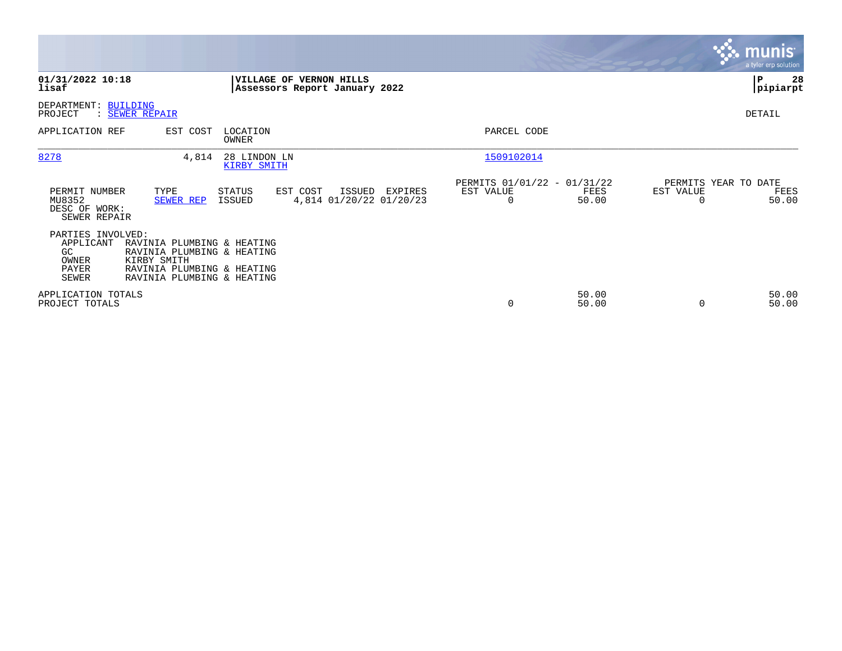|                                                                        |                                                                                                                                     |                                                          |                          |                                              |                                               | <b>munis</b><br>a tyler erp solution |
|------------------------------------------------------------------------|-------------------------------------------------------------------------------------------------------------------------------------|----------------------------------------------------------|--------------------------|----------------------------------------------|-----------------------------------------------|--------------------------------------|
| 01/31/2022 10:18<br>lisaf                                              |                                                                                                                                     | VILLAGE OF VERNON HILLS<br>Assessors Report January 2022 |                          |                                              |                                               | 28<br>P<br> pipiarpt                 |
| DEPARTMENT: BUILDING<br>PROJECT                                        | : SEWER REPAIR                                                                                                                      |                                                          |                          |                                              |                                               | DETAIL                               |
| APPLICATION REF                                                        | EST COST<br>LOCATION<br><b>OWNER</b>                                                                                                |                                                          | PARCEL CODE              |                                              |                                               |                                      |
| 8278                                                                   | 4,814<br>28 LINDON LN<br>KIRBY SMITH                                                                                                |                                                          | 1509102014               |                                              |                                               |                                      |
| PERMIT NUMBER<br>MU8352<br>DESC OF WORK:<br>SEWER REPAIR               | TYPE<br>STATUS<br>SEWER REP<br>ISSUED                                                                                               | EST COST<br>ISSUED EXPIRES<br>4,814 01/20/22 01/20/23    | EST VALUE<br>$\mathbf 0$ | PERMITS 01/01/22 - 01/31/22<br>FEES<br>50.00 | PERMITS YEAR TO DATE<br>EST VALUE<br>$\Omega$ | FEES<br>50.00                        |
| PARTIES INVOLVED:<br>APPLICANT<br>GC<br>OWNER<br>PAYER<br><b>SEWER</b> | RAVINIA PLUMBING & HEATING<br>RAVINIA PLUMBING & HEATING<br>KIRBY SMITH<br>RAVINIA PLUMBING & HEATING<br>RAVINIA PLUMBING & HEATING |                                                          |                          |                                              |                                               |                                      |
| APPLICATION TOTALS<br>PROJECT TOTALS                                   |                                                                                                                                     |                                                          | 0                        | 50.00<br>50.00                               | $\Omega$                                      | 50.00<br>50.00                       |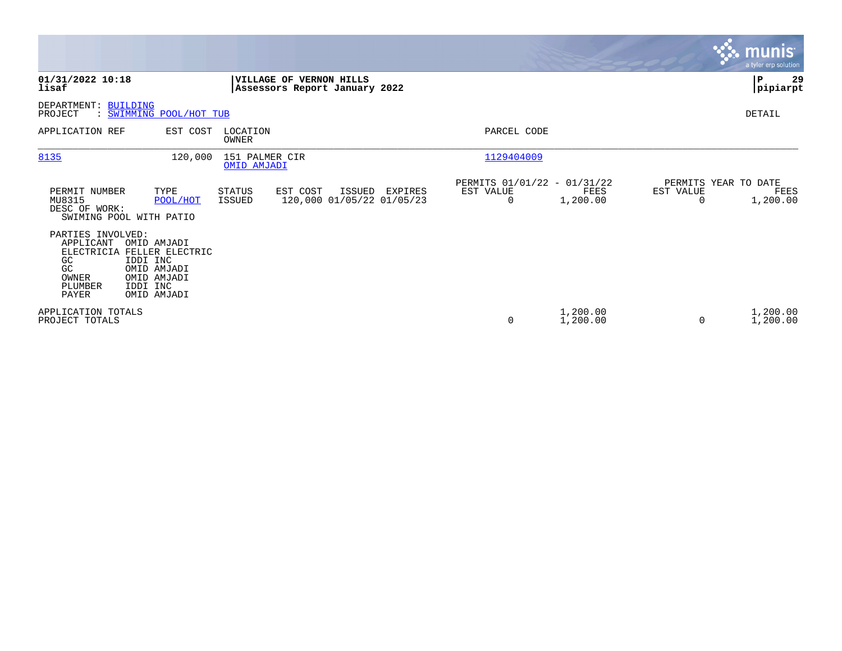|                                                                                |                                                                                                                |                                      |                                                          |         |           |             |                                                 |                       | <b>munis</b><br>a tyler erp solution     |
|--------------------------------------------------------------------------------|----------------------------------------------------------------------------------------------------------------|--------------------------------------|----------------------------------------------------------|---------|-----------|-------------|-------------------------------------------------|-----------------------|------------------------------------------|
| 01/31/2022 10:18<br>lisaf                                                      |                                                                                                                |                                      | VILLAGE OF VERNON HILLS<br>Assessors Report January 2022 |         |           |             |                                                 |                       | 29<br>$\mathbf P$<br> pipiarpt           |
| DEPARTMENT:<br>PROJECT                                                         | <b>BUILDING</b><br>SWIMMING POOL/HOT TUB                                                                       |                                      |                                                          |         |           |             |                                                 |                       | DETAIL                                   |
| APPLICATION REF                                                                | EST COST                                                                                                       | LOCATION<br>OWNER                    |                                                          |         |           | PARCEL CODE |                                                 |                       |                                          |
| 8135                                                                           | 120,000                                                                                                        | 151 PALMER CIR<br><b>OMID AMJADI</b> |                                                          |         |           | 1129404009  |                                                 |                       |                                          |
| PERMIT NUMBER<br>MU8315<br>DESC OF WORK:                                       | TYPE<br>POOL/HOT<br>SWIMING POOL WITH PATIO                                                                    | STATUS<br><b>ISSUED</b>              | EST COST<br>ISSUED<br>120,000 01/05/22 01/05/23          | EXPIRES | EST VALUE | 0           | PERMITS 01/01/22 - 01/31/22<br>FEES<br>1,200.00 | EST VALUE<br>$\Omega$ | PERMITS YEAR TO DATE<br>FEES<br>1,200.00 |
| PARTIES INVOLVED:<br>APPLICANT<br>GC<br>GC<br>OWNER<br>PLUMBER<br><b>PAYER</b> | OMID AMJADI<br>ELECTRICIA FELLER ELECTRIC<br>IDDI INC<br>OMID AMJADI<br>OMID AMJADI<br>IDDI INC<br>OMID AMJADI |                                      |                                                          |         |           |             |                                                 |                       |                                          |
| APPLICATION TOTALS<br>PROJECT TOTALS                                           |                                                                                                                |                                      |                                                          |         |           | $\mathbf 0$ | 1,200.00<br>1,200.00                            | $\Omega$              | 1,200.00<br>1,200.00                     |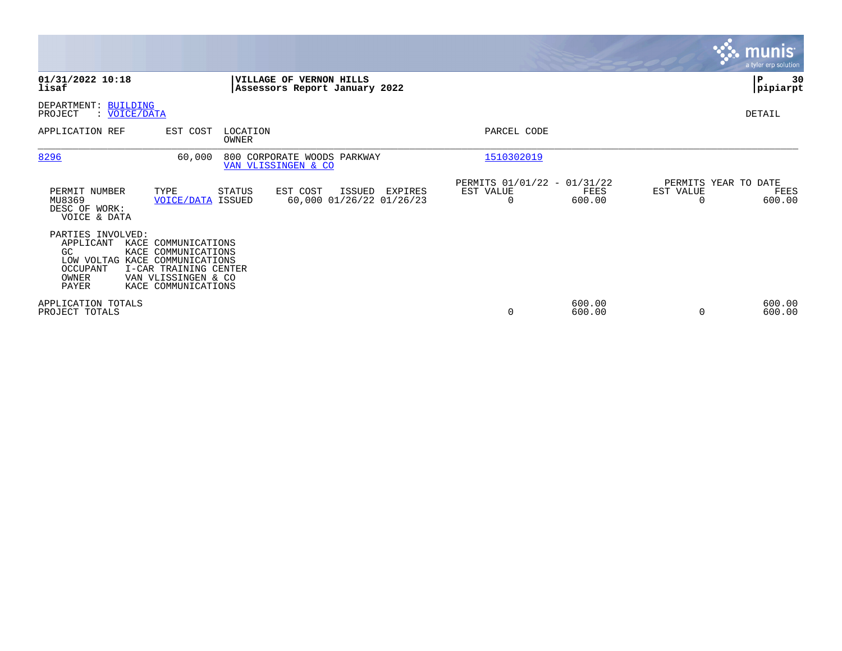|                                                                                                                           |                                                                                                                   |                                               |                                                                 | <b>munis</b><br>a tyler erp solution                            |
|---------------------------------------------------------------------------------------------------------------------------|-------------------------------------------------------------------------------------------------------------------|-----------------------------------------------|-----------------------------------------------------------------|-----------------------------------------------------------------|
| 01/31/2022 10:18<br>lisaf                                                                                                 | VILLAGE OF VERNON HILLS<br>Assessors Report January 2022                                                          |                                               |                                                                 | P<br>30<br> pipiarpt                                            |
| DEPARTMENT: BUILDING<br>: VOICE/DATA<br>PROJECT                                                                           |                                                                                                                   |                                               |                                                                 | DETAIL                                                          |
| APPLICATION REF                                                                                                           | EST COST<br>LOCATION<br>OWNER                                                                                     |                                               | PARCEL CODE                                                     |                                                                 |
| 8296                                                                                                                      | 60,000<br>800 CORPORATE WOODS PARKWAY<br>VAN VLISSINGEN & CO                                                      |                                               | 1510302019                                                      |                                                                 |
| PERMIT NUMBER<br>MU8369<br>DESC OF WORK:<br>VOICE & DATA                                                                  | TYPE<br>STATUS<br>EST COST<br><b>VOICE/DATA ISSUED</b>                                                            | ISSUED<br>EXPIRES<br>60,000 01/26/22 01/26/23 | PERMITS 01/01/22 - 01/31/22<br>EST VALUE<br>FEES<br>600.00<br>0 | PERMITS YEAR TO DATE<br>EST VALUE<br>FEES<br>600.00<br>$\Omega$ |
| PARTIES INVOLVED:<br>APPLICANT<br>GC<br>LOW VOLTAG KACE COMMUNICATIONS<br><b>OCCUPANT</b><br><b>OWNER</b><br><b>PAYER</b> | KACE COMMUNICATIONS<br>KACE COMMUNICATIONS<br>I-CAR TRAINING CENTER<br>VAN VLISSINGEN & CO<br>KACE COMMUNICATIONS |                                               |                                                                 |                                                                 |
| APPLICATION TOTALS<br>PROJECT TOTALS                                                                                      |                                                                                                                   |                                               | 600.00<br>0<br>600.00                                           | 600.00<br>600.00<br>0                                           |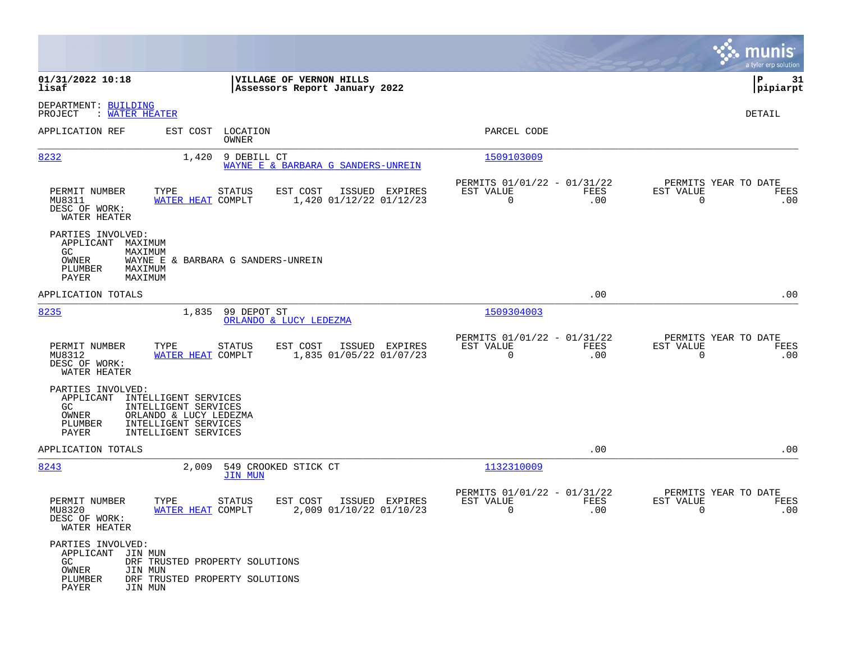|                                                                                                                                                                                             |                                                                                             |                                                                           | munis<br>a tyler erp solution                                   |
|---------------------------------------------------------------------------------------------------------------------------------------------------------------------------------------------|---------------------------------------------------------------------------------------------|---------------------------------------------------------------------------|-----------------------------------------------------------------|
| 01/31/2022 10:18<br>lisaf                                                                                                                                                                   | VILLAGE OF VERNON HILLS<br>Assessors Report January 2022                                    |                                                                           | l P<br>31<br> pipiarpt                                          |
| DEPARTMENT: BUILDING<br>: WATER HEATER<br>PROJECT                                                                                                                                           |                                                                                             |                                                                           | DETAIL                                                          |
| APPLICATION REF                                                                                                                                                                             | EST COST LOCATION<br>OWNER                                                                  | PARCEL CODE                                                               |                                                                 |
| 8232                                                                                                                                                                                        | 1,420 9 DEBILL CT<br>WAYNE E & BARBARA G SANDERS-UNREIN                                     | 1509103009                                                                |                                                                 |
| PERMIT NUMBER<br>TYPE<br>MU8311<br>DESC OF WORK:<br>WATER HEATER                                                                                                                            | <b>STATUS</b><br>EST COST<br>ISSUED EXPIRES<br>1,420 01/12/22 01/12/23<br>WATER HEAT COMPLT | PERMITS 01/01/22 - 01/31/22<br>EST VALUE<br>FEES<br>$\overline{0}$<br>.00 | PERMITS YEAR TO DATE<br>EST VALUE<br>FEES<br>$\Omega$<br>.00    |
| PARTIES INVOLVED:<br>APPLICANT<br>MAXIMUM<br>GC<br>MAXIMUM<br>OWNER<br>PLUMBER<br>MAXIMUM<br>PAYER<br>MAXIMUM                                                                               | WAYNE E & BARBARA G SANDERS-UNREIN                                                          |                                                                           |                                                                 |
| APPLICATION TOTALS                                                                                                                                                                          |                                                                                             | .00                                                                       | .00                                                             |
| 8235                                                                                                                                                                                        | 1,835<br>99 DEPOT ST<br>ORLANDO & LUCY LEDEZMA                                              | 1509304003                                                                |                                                                 |
| PERMIT NUMBER<br>TYPE<br>MU8312<br>DESC OF WORK:<br>WATER HEATER                                                                                                                            | STATUS<br>EST COST<br>ISSUED EXPIRES<br>WATER HEAT COMPLT<br>1,835 01/05/22 01/07/23        | PERMITS 01/01/22 - 01/31/22<br>EST VALUE<br>FEES<br>$\mathbf 0$<br>.00    | PERMITS YEAR TO DATE<br>EST VALUE<br>FEES<br>$\mathbf 0$<br>.00 |
| PARTIES INVOLVED:<br>APPLICANT<br>INTELLIGENT SERVICES<br>GC<br>INTELLIGENT SERVICES<br>OWNER<br>ORLANDO & LUCY LEDEZMA<br>PLUMBER<br>INTELLIGENT SERVICES<br>PAYER<br>INTELLIGENT SERVICES |                                                                                             |                                                                           |                                                                 |
| APPLICATION TOTALS                                                                                                                                                                          |                                                                                             | .00                                                                       | .00                                                             |
| 8243                                                                                                                                                                                        | 2,009<br>549 CROOKED STICK CT<br><b>JIN MUN</b>                                             | 1132310009                                                                |                                                                 |
| PERMIT NUMBER<br>TYPE<br>MU8320<br>DESC OF WORK:<br>WATER HEATER                                                                                                                            | STATUS<br>EST COST<br>ISSUED EXPIRES<br>2,009 01/10/22 01/10/23<br>WATER HEAT COMPLT        | PERMITS 01/01/22 - 01/31/22<br>EST VALUE<br>FEES<br>0<br>.00              | PERMITS YEAR TO DATE<br>EST VALUE<br>FEES<br>0<br>.00           |
| PARTIES INVOLVED:<br>APPLICANT JIN MUN<br>GC<br>OWNER<br>JIN MUN<br>PLUMBER<br>PAYER<br>JIN MUN                                                                                             | DRF TRUSTED PROPERTY SOLUTIONS<br>DRF TRUSTED PROPERTY SOLUTIONS                            |                                                                           |                                                                 |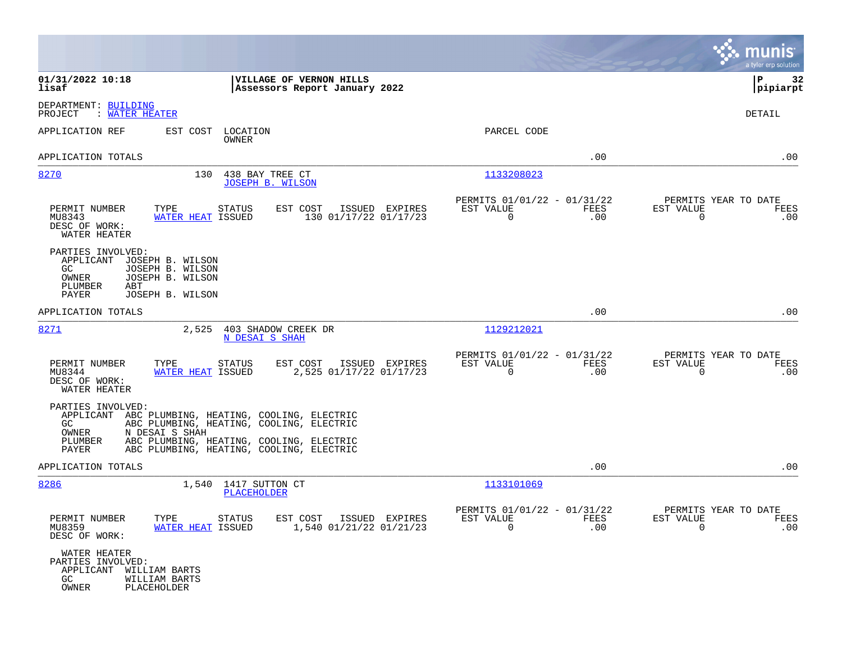|                                                                                                                                                                                                              |                                                                        | munis<br>a tyler erp solution                                   |
|--------------------------------------------------------------------------------------------------------------------------------------------------------------------------------------------------------------|------------------------------------------------------------------------|-----------------------------------------------------------------|
| 01/31/2022 10:18<br>VILLAGE OF VERNON HILLS<br>lisaf<br>Assessors Report January 2022                                                                                                                        |                                                                        | ΙP<br>32<br> pipiarpt                                           |
| DEPARTMENT: BUILDING<br>PROJECT<br>: WATER HEATER                                                                                                                                                            |                                                                        | DETAIL                                                          |
| APPLICATION REF<br>EST COST<br>LOCATION<br>OWNER                                                                                                                                                             | PARCEL CODE                                                            |                                                                 |
| APPLICATION TOTALS                                                                                                                                                                                           | .00                                                                    | .00                                                             |
| 8270<br>130<br>438 BAY TREE CT<br><b>JOSEPH B. WILSON</b>                                                                                                                                                    | 1133208023                                                             |                                                                 |
| PERMIT NUMBER<br>TYPE<br>STATUS<br>EST COST<br>ISSUED EXPIRES<br>MU8343<br>WATER HEAT ISSUED<br>130 01/17/22 01/17/23<br>DESC OF WORK:<br>WATER HEATER                                                       | PERMITS 01/01/22 - 01/31/22<br>EST VALUE<br>FEES<br>0<br>.00           | PERMITS YEAR TO DATE<br>EST VALUE<br>FEES<br>0<br>.00           |
| PARTIES INVOLVED:<br>APPLICANT<br>JOSEPH B. WILSON<br>GC.<br>JOSEPH B. WILSON<br>OWNER<br>JOSEPH B. WILSON<br>PLUMBER<br>ABT<br>PAYER<br>JOSEPH B. WILSON                                                    |                                                                        |                                                                 |
| APPLICATION TOTALS                                                                                                                                                                                           | .00                                                                    | .00                                                             |
| 8271<br>2,525<br>403 SHADOW CREEK DR<br>N DESAI S SHAH                                                                                                                                                       | 1129212021                                                             |                                                                 |
| EST COST<br>ISSUED EXPIRES<br>PERMIT NUMBER<br>TYPE<br>STATUS<br>2,525 01/17/22 01/17/23<br>MU8344<br>WATER HEAT ISSUED<br>DESC OF WORK:<br>WATER HEATER                                                     | PERMITS 01/01/22 - 01/31/22<br>EST VALUE<br>FEES<br>$\Omega$<br>.00    | PERMITS YEAR TO DATE<br>EST VALUE<br>FEES<br>$\mathbf 0$<br>.00 |
| PARTIES INVOLVED:<br>APPLICANT ABC PLUMBING, HEATING, COOLING, ELECTRIC<br>ABC PLUMBING, HEATING, COOLING, ELECTRIC<br>GC.<br>OWNER<br>N DESAI S SHAH<br>ABC PLUMBING, HEATING, COOLING, ELECTRIC<br>PLUMBER |                                                                        |                                                                 |
| ABC PLUMBING, HEATING, COOLING, ELECTRIC<br>PAYER<br>APPLICATION TOTALS                                                                                                                                      | .00                                                                    | .00                                                             |
| 8286<br>1,540 1417 SUTTON CT                                                                                                                                                                                 | 1133101069                                                             |                                                                 |
| PLACEHOLDER                                                                                                                                                                                                  |                                                                        |                                                                 |
| PERMIT NUMBER<br>TYPE<br><b>STATUS</b><br>EST COST<br>ISSUED EXPIRES<br>MU8359<br>WATER HEAT ISSUED<br>1,540 01/21/22 01/21/23<br>DESC OF WORK:                                                              | PERMITS 01/01/22 - 01/31/22<br>EST VALUE<br>FEES<br>$\mathbf 0$<br>.00 | PERMITS YEAR TO DATE<br>EST VALUE<br>FEES<br>.00<br>0           |
| WATER HEATER<br>PARTIES INVOLVED:<br>APPLICANT<br>WILLIAM BARTS<br>GC.<br>WILLIAM BARTS<br>PLACEHOLDER<br>OWNER                                                                                              |                                                                        |                                                                 |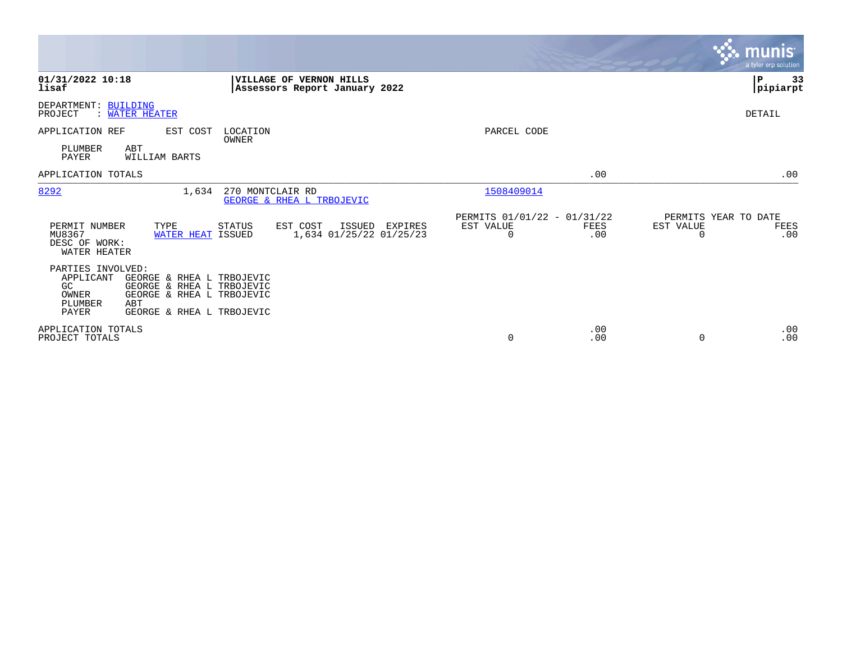|                                                                          |                                                                                                                         |                                                          |                |                                               |             |                                        | <b>munis</b><br>a tyler erp solution |
|--------------------------------------------------------------------------|-------------------------------------------------------------------------------------------------------------------------|----------------------------------------------------------|----------------|-----------------------------------------------|-------------|----------------------------------------|--------------------------------------|
| 01/31/2022 10:18<br>lisaf                                                |                                                                                                                         | VILLAGE OF VERNON HILLS<br>Assessors Report January 2022 |                |                                               |             |                                        | 33<br>l P<br> pipiarpt               |
| DEPARTMENT: BUILDING<br>PROJECT                                          | : WATER HEATER                                                                                                          |                                                          |                |                                               |             |                                        | <b>DETAIL</b>                        |
| APPLICATION REF                                                          | EST COST                                                                                                                | LOCATION<br>OWNER                                        |                | PARCEL CODE                                   |             |                                        |                                      |
| PLUMBER<br>PAYER                                                         | ABT<br>WILLIAM BARTS                                                                                                    |                                                          |                |                                               |             |                                        |                                      |
| APPLICATION TOTALS                                                       |                                                                                                                         |                                                          |                |                                               | .00         |                                        | .00                                  |
| 8292                                                                     | 1,634                                                                                                                   | 270 MONTCLAIR RD<br>GEORGE & RHEA L TRBOJEVIC            |                | 1508409014                                    |             |                                        |                                      |
| PERMIT NUMBER<br>MU8367<br>DESC OF WORK:<br>WATER HEATER                 | TYPE<br>WATER HEAT ISSUED                                                                                               | EST COST<br>STATUS<br>1,634 01/25/22 01/25/23            | ISSUED EXPIRES | PERMITS 01/01/22 - 01/31/22<br>EST VALUE<br>0 | FEES<br>.00 | PERMITS YEAR TO DATE<br>EST VALUE<br>O | FEES<br>.00                          |
| PARTIES INVOLVED:<br>APPLICANT<br><b>GC</b><br>OWNER<br>PLUMBER<br>PAYER | GEORGE & RHEA L TRBOJEVIC<br>GEORGE & RHEA L TRBOJEVIC<br>GEORGE & RHEA L TRBOJEVIC<br>ABT<br>GEORGE & RHEA L TRBOJEVIC |                                                          |                |                                               |             |                                        |                                      |
| APPLICATION TOTALS<br>PROJECT TOTALS                                     |                                                                                                                         |                                                          |                | 0                                             | .00<br>.00  | 0                                      | .00<br>.00                           |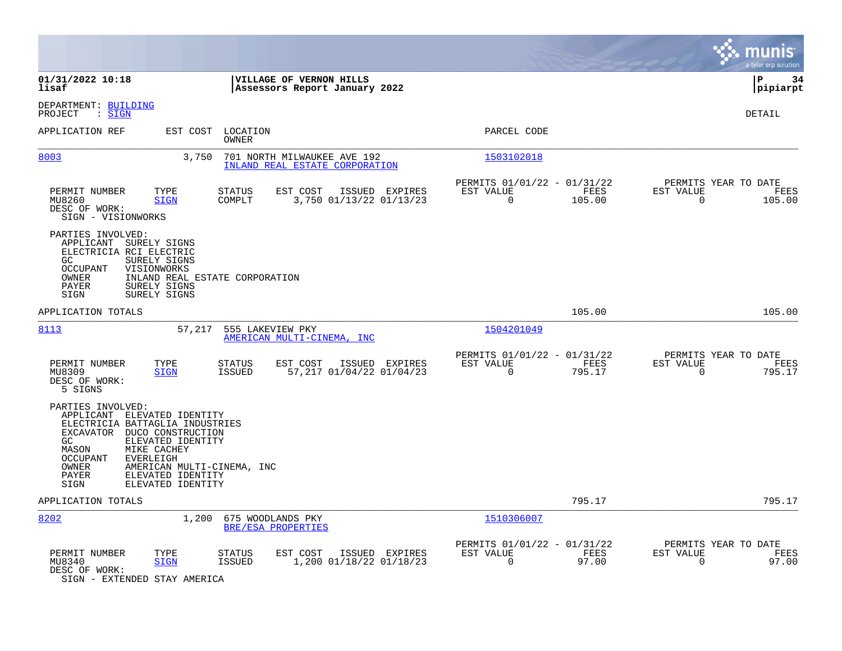|                                                                                                                                                                                                                                                                                                   |                                                                           | munis<br>a tyler erp solution                                      |
|---------------------------------------------------------------------------------------------------------------------------------------------------------------------------------------------------------------------------------------------------------------------------------------------------|---------------------------------------------------------------------------|--------------------------------------------------------------------|
| 01/31/2022 10:18<br>VILLAGE OF VERNON HILLS<br>lisaf<br>Assessors Report January 2022                                                                                                                                                                                                             |                                                                           | l P<br>-34<br> pipiarpt                                            |
| DEPARTMENT: BUILDING<br>: <u>SIGN</u><br>PROJECT                                                                                                                                                                                                                                                  |                                                                           | <b>DETAIL</b>                                                      |
| APPLICATION REF<br>EST COST<br>LOCATION<br>OWNER                                                                                                                                                                                                                                                  | PARCEL CODE                                                               |                                                                    |
| 8003<br>3,750<br>701 NORTH MILWAUKEE AVE 192<br>INLAND REAL ESTATE CORPORATION                                                                                                                                                                                                                    | 1503102018                                                                |                                                                    |
| PERMIT NUMBER<br>TYPE<br>EST COST<br>ISSUED EXPIRES<br>STATUS<br>MU8260<br>COMPLT<br>3,750 01/13/22 01/13/23<br><b>SIGN</b><br>DESC OF WORK:<br>SIGN - VISIONWORKS                                                                                                                                | PERMITS 01/01/22 - 01/31/22<br>EST VALUE<br>FEES<br>$\mathbf 0$<br>105.00 | PERMITS YEAR TO DATE<br>EST VALUE<br>FEES<br>$\mathbf 0$<br>105.00 |
| PARTIES INVOLVED:<br>APPLICANT SURELY SIGNS<br>ELECTRICIA RCI ELECTRIC<br>GC<br>SURELY SIGNS<br>OCCUPANT<br>VISIONWORKS<br>INLAND REAL ESTATE CORPORATION<br>OWNER<br>PAYER<br>SURELY SIGNS<br>SIGN<br>SURELY SIGNS                                                                               |                                                                           |                                                                    |
| APPLICATION TOTALS                                                                                                                                                                                                                                                                                | 105.00                                                                    | 105.00                                                             |
| 8113<br>57,217<br>555 LAKEVIEW PKY<br>AMERICAN MULTI-CINEMA, INC                                                                                                                                                                                                                                  | 1504201049                                                                |                                                                    |
| EST COST<br>ISSUED EXPIRES<br>PERMIT NUMBER<br>TYPE<br>STATUS<br>57,217 01/04/22 01/04/23<br>MU8309<br><b>SIGN</b><br><b>ISSUED</b><br>DESC OF WORK:<br>5 SIGNS                                                                                                                                   | PERMITS 01/01/22 - 01/31/22<br>EST VALUE<br>FEES<br>795.17<br>$\Omega$    | PERMITS YEAR TO DATE<br>EST VALUE<br>FEES<br>$\mathbf 0$<br>795.17 |
| PARTIES INVOLVED:<br>APPLICANT ELEVATED IDENTITY<br>ELECTRICIA BATTAGLIA INDUSTRIES<br>EXCAVATOR DUCO CONSTRUCTION<br>ELEVATED IDENTITY<br>GC.<br>MIKE CACHEY<br>MASON<br>OCCUPANT<br>EVERLEIGH<br>OWNER<br>AMERICAN MULTI-CINEMA, INC<br>PAYER<br>ELEVATED IDENTITY<br>SIGN<br>ELEVATED IDENTITY |                                                                           |                                                                    |
| APPLICATION TOTALS                                                                                                                                                                                                                                                                                | 795.17                                                                    | 795.17                                                             |
| 8202<br>1,200<br>675 WOODLANDS PKY<br>BRE/ESA PROPERTIES                                                                                                                                                                                                                                          | 1510306007                                                                |                                                                    |
| ISSUED EXPIRES<br>PERMIT NUMBER<br>TYPE<br>EST COST<br>STATUS<br>1,200 01/18/22 01/18/23<br>MU8340<br><b>ISSUED</b><br><b>SIGN</b><br>DESC OF WORK:<br>SIGN - EXTENDED STAY AMERICA                                                                                                               | PERMITS 01/01/22 - 01/31/22<br>EST VALUE<br>FEES<br>97.00<br>$\Omega$     | PERMITS YEAR TO DATE<br>EST VALUE<br>FEES<br>97.00<br>0            |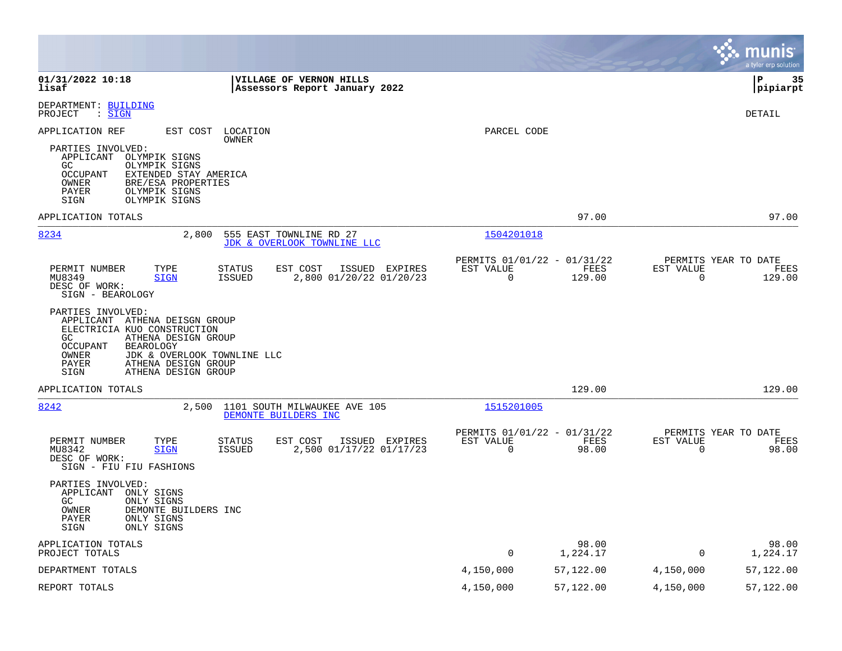|                                                                                                                                                                                                                                                        |                                                         |                   |                          | munis<br>a tyler erp solution          |
|--------------------------------------------------------------------------------------------------------------------------------------------------------------------------------------------------------------------------------------------------------|---------------------------------------------------------|-------------------|--------------------------|----------------------------------------|
| 01/31/2022 10:18<br>VILLAGE OF VERNON HILLS<br>lisaf<br>Assessors Report January 2022                                                                                                                                                                  |                                                         |                   |                          | lР<br>35<br> pipiarpt                  |
| DEPARTMENT: BUILDING<br>: SIGN<br>PROJECT                                                                                                                                                                                                              |                                                         |                   |                          | DETAIL                                 |
| APPLICATION REF<br>EST COST<br>LOCATION<br>OWNER                                                                                                                                                                                                       | PARCEL CODE                                             |                   |                          |                                        |
| PARTIES INVOLVED:<br>APPLICANT<br>OLYMPIK SIGNS<br>GC.<br>OLYMPIK SIGNS<br>OCCUPANT<br>EXTENDED STAY AMERICA<br>OWNER<br>BRE/ESA PROPERTIES<br>PAYER<br>OLYMPIK SIGNS<br>SIGN<br>OLYMPIK SIGNS                                                         |                                                         |                   |                          |                                        |
| APPLICATION TOTALS                                                                                                                                                                                                                                     |                                                         | 97.00             |                          | 97.00                                  |
| 8234<br>555 EAST TOWNLINE RD 27<br>2,800<br>JDK & OVERLOOK TOWNLINE LLC                                                                                                                                                                                | 1504201018                                              |                   |                          |                                        |
| EST COST<br>PERMIT NUMBER<br>TYPE<br><b>STATUS</b><br>ISSUED EXPIRES<br>ISSUED<br>2,800 01/20/22 01/20/23<br>MU8349<br>SIGN<br>DESC OF WORK:<br>SIGN - BEAROLOGY                                                                                       | PERMITS 01/01/22 - 01/31/22<br>EST VALUE<br>$\mathbf 0$ | FEES<br>129.00    | EST VALUE<br>0           | PERMITS YEAR TO DATE<br>FEES<br>129.00 |
| PARTIES INVOLVED:<br>APPLICANT ATHENA DEISGN GROUP<br>ELECTRICIA KUO CONSTRUCTION<br>GC.<br>ATHENA DESIGN GROUP<br>OCCUPANT<br><b>BEAROLOGY</b><br>OWNER<br>JDK & OVERLOOK TOWNLINE LLC<br>PAYER<br>ATHENA DESIGN GROUP<br>ATHENA DESIGN GROUP<br>SIGN |                                                         |                   |                          |                                        |
| APPLICATION TOTALS                                                                                                                                                                                                                                     |                                                         | 129.00            |                          | 129.00                                 |
| 8242<br>2,500<br>1101 SOUTH MILWAUKEE AVE 105<br>DEMONTE BUILDERS INC                                                                                                                                                                                  | 1515201005                                              |                   |                          |                                        |
| PERMIT NUMBER<br>TYPE<br>EST COST<br>ISSUED EXPIRES<br><b>STATUS</b><br>2,500 01/17/22 01/17/23<br><b>ISSUED</b><br>MU8342<br><b>SIGN</b><br>DESC OF WORK:<br>SIGN - FIU FIU FASHIONS                                                                  | PERMITS 01/01/22 - 01/31/22<br>EST VALUE<br>$\mathbf 0$ | FEES<br>98.00     | EST VALUE<br>$\mathbf 0$ | PERMITS YEAR TO DATE<br>FEES<br>98.00  |
| PARTIES INVOLVED:<br>APPLICANT<br>ONLY SIGNS<br>GC.<br>ONLY SIGNS<br>OWNER<br>DEMONTE BUILDERS INC<br>PAYER<br>ONLY SIGNS<br>SIGN<br>ONLY SIGNS                                                                                                        |                                                         |                   |                          |                                        |
| APPLICATION TOTALS<br>PROJECT TOTALS                                                                                                                                                                                                                   | $\mathsf{O}$                                            | 98.00<br>1,224.17 | 0                        | 98.00<br>1,224.17                      |
| DEPARTMENT TOTALS                                                                                                                                                                                                                                      | 4,150,000                                               | 57,122.00         | 4,150,000                | 57,122.00                              |
| REPORT TOTALS                                                                                                                                                                                                                                          | 4,150,000                                               | 57,122.00         | 4,150,000                | 57,122.00                              |